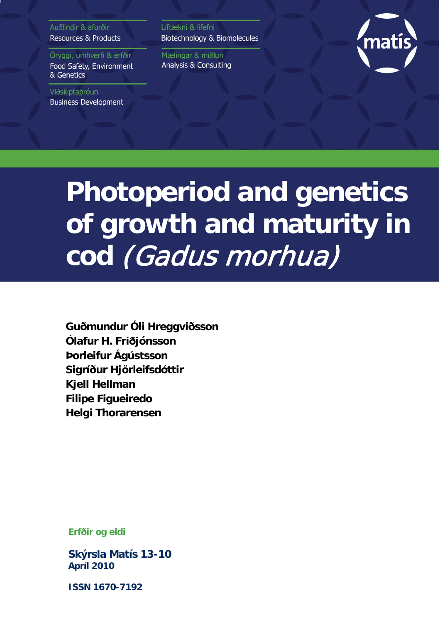Auðlindir & afurðir **Resources & Products** 

Öryggi, umhverfi & erfðir Food Safety, Environment & Genetics

Viðskiptaþróun **Business Development**  Líftækni & lífefni Biotechnology & Biomolecules

Mælingar & miðlun Analysis & Consulting



# **Photoperiod and genetics of growth and maturity in cod** (Gadus morhua)

**Guðmundur Óli Hreggviðsson Ólafur H. Friðjónsson Þorleifur Ágústsson Sigríður Hjörleifsdóttir Kjell Hellman Filipe Figueiredo Helgi Thorarensen**

**Erfðir og eldi**

**Skýrsla Matís 13-10 Apríl 2010**

**ISSN 1670-7192**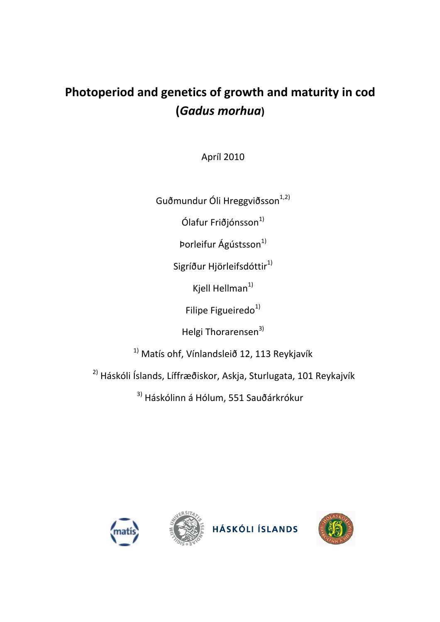## **Photoperiod and genetics of growth and maturity in cod (***Gadus morhua***)**

Apríl 2010

Guðmundur Óli Hreggviðsson $^{1,2)}$ 

Ólafur Friðjónsson $^{1)}$ 

Þorleifur Ágústsson<sup>1)</sup>

Sigríður Hjörleifsdóttir<sup>1)</sup>

Kjell Hellman $1$ 

Filipe Figueiredo $1)$ 

Helgi Thorarensen<sup>3)</sup>

 $1)$  Matís ohf, Vínlandsleið 12, 113 Reykjavík

2) Háskóli Íslands, Líffræðiskor, Askja, Sturlugata, 101 Reykajvík

<sup>3)</sup> Háskólinn á Hólum, 551 Sauðárkrókur







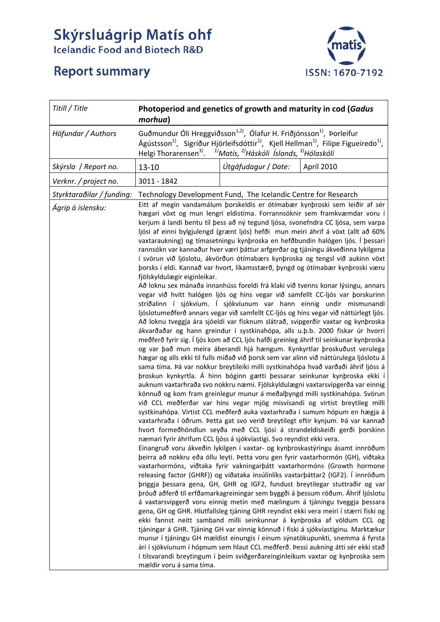# **Skýrsluágrip Matís ohf**<br>Icelandic Food and Biotech R&D



## **Report summary**

| Titill / Title            | Photoperiod and genetics of growth and maturity in cod (Gadus<br>morhua)                                                           |                                                                             |                                                                                                                                                                                                                                                                                                                                                                                                                                                                                                                                                                                                                                                                                                                                                                                                                                                                                                                                                                                                                                                                                                                                                                                                                                                                                                                                                                                                                                                                                                                                                                                                                                                                                                                                                                                                                                                                                                                                                                                                                                                                                                                                                                                                                                                                                                                                                                                                                                                                                                                                                                                                                                                                                                                                                                                                                                                                                                                                                                                                                                                                                                                                                                                                                               |
|---------------------------|------------------------------------------------------------------------------------------------------------------------------------|-----------------------------------------------------------------------------|-------------------------------------------------------------------------------------------------------------------------------------------------------------------------------------------------------------------------------------------------------------------------------------------------------------------------------------------------------------------------------------------------------------------------------------------------------------------------------------------------------------------------------------------------------------------------------------------------------------------------------------------------------------------------------------------------------------------------------------------------------------------------------------------------------------------------------------------------------------------------------------------------------------------------------------------------------------------------------------------------------------------------------------------------------------------------------------------------------------------------------------------------------------------------------------------------------------------------------------------------------------------------------------------------------------------------------------------------------------------------------------------------------------------------------------------------------------------------------------------------------------------------------------------------------------------------------------------------------------------------------------------------------------------------------------------------------------------------------------------------------------------------------------------------------------------------------------------------------------------------------------------------------------------------------------------------------------------------------------------------------------------------------------------------------------------------------------------------------------------------------------------------------------------------------------------------------------------------------------------------------------------------------------------------------------------------------------------------------------------------------------------------------------------------------------------------------------------------------------------------------------------------------------------------------------------------------------------------------------------------------------------------------------------------------------------------------------------------------------------------------------------------------------------------------------------------------------------------------------------------------------------------------------------------------------------------------------------------------------------------------------------------------------------------------------------------------------------------------------------------------------------------------------------------------------------------------------------------------|
| Höfundar / Authors        | Guðmundur Óli Hreggviðsson <sup>1,2)</sup> , Ólafur H. Friðjónsson <sup>1)</sup> , Þorleifur<br>Helgi Thorarensen <sup>3)</sup> .  | <sup>1)</sup> Matís, <sup>2)</sup> Háskóli Íslands, <sup>3)</sup> Hólaskóli | Ágústsson <sup>1)</sup> , Sigríður Hjörleifsdóttir <sup>1)</sup> , Kjell Hellman <sup>1)</sup> , Filipe Figueiredo <sup>1</sup> ),                                                                                                                                                                                                                                                                                                                                                                                                                                                                                                                                                                                                                                                                                                                                                                                                                                                                                                                                                                                                                                                                                                                                                                                                                                                                                                                                                                                                                                                                                                                                                                                                                                                                                                                                                                                                                                                                                                                                                                                                                                                                                                                                                                                                                                                                                                                                                                                                                                                                                                                                                                                                                                                                                                                                                                                                                                                                                                                                                                                                                                                                                            |
| Skýrsla / Report no.      | $13 - 10$                                                                                                                          | Útgáfudagur / Date:                                                         | Apríl 2010                                                                                                                                                                                                                                                                                                                                                                                                                                                                                                                                                                                                                                                                                                                                                                                                                                                                                                                                                                                                                                                                                                                                                                                                                                                                                                                                                                                                                                                                                                                                                                                                                                                                                                                                                                                                                                                                                                                                                                                                                                                                                                                                                                                                                                                                                                                                                                                                                                                                                                                                                                                                                                                                                                                                                                                                                                                                                                                                                                                                                                                                                                                                                                                                                    |
| Verknr. / project no.     | 3011 - 1842                                                                                                                        |                                                                             |                                                                                                                                                                                                                                                                                                                                                                                                                                                                                                                                                                                                                                                                                                                                                                                                                                                                                                                                                                                                                                                                                                                                                                                                                                                                                                                                                                                                                                                                                                                                                                                                                                                                                                                                                                                                                                                                                                                                                                                                                                                                                                                                                                                                                                                                                                                                                                                                                                                                                                                                                                                                                                                                                                                                                                                                                                                                                                                                                                                                                                                                                                                                                                                                                               |
| Styrktaraðilar / funding: | Technology Development Fund, The Icelandic Centre for Research                                                                     |                                                                             |                                                                                                                                                                                                                                                                                                                                                                                                                                                                                                                                                                                                                                                                                                                                                                                                                                                                                                                                                                                                                                                                                                                                                                                                                                                                                                                                                                                                                                                                                                                                                                                                                                                                                                                                                                                                                                                                                                                                                                                                                                                                                                                                                                                                                                                                                                                                                                                                                                                                                                                                                                                                                                                                                                                                                                                                                                                                                                                                                                                                                                                                                                                                                                                                                               |
| Ágrip á íslensku:         | fjölskyldulægir eiginleikar.<br>næmari fyrir áhrifum CCL ljóss á sjókvíastigi. Svo reyndist ekki vera.<br>mældir voru á sama tíma. |                                                                             | Eitt af megin vandamálum þorskeldis er ótímabær kynþroski sem leiðir af sér<br>hægari vöxt og mun lengri eldistíma. Forrannsóknir sem framkvæmdar voru í<br>kerjum á landi bentu til þess að ný tegund ljósa, svonefndra CC ljósa, sem varpa<br>ljósi af einni bylgjulengd (grænt ljós) hefði mun meiri áhrif á vöxt (allt að 60%<br>vaxtaraukning) og tímasetningu kynþroska en hefðbundin halógen ljós. Í þessari<br>rannsókn var kannaður hver væri þáttur arfgerðar og tjáningu ákveðinna lykilgena<br>í svörun við ljóslotu, ákvörðun ótímabærs kynþroska og tengsl við aukinn vöxt<br>þorsks í eldi. Kannað var hvort, líkamsstærð, þyngd og ótímabær kynþroski væru<br>Að loknu sex mánaða innanhúss foreldi frá klaki við tvenns konar lýsingu, annars<br>vegar við hvítt halógen ljós og hins vegar við samfellt CC-ljós var þorskurinn<br>stríðalinn í sjókvíum. Í sjókvíunum var hann einnig undir mismunandi<br>ljóslotumeðferð annars vegar við samfellt CC-ljós og hins vegar við náttúrlegt ljós.<br>Að loknu tveggja ára sjóeldi var fisknum slátrað, svipgerðir vaxtar og kynþroska<br>ákvarðaðar og hann greindur í systkinahópa, alls u.þ.b. 2000 fiskar úr hvorri<br>meðferð fyrir sig. Í ljós kom að CCL ljós hafði greinleg áhrif til seinkunar kynþroska<br>og var það mun meira áberandi hjá hængum. Kynkyrtlar þroskuðust verulega<br>hægar og alls ekki til fulls miðað við þorsk sem var alinn við náttúrulega ljóslotu á<br>sama tíma. Þá var nokkur breytileiki milli systkinahópa hvað varðaði áhrif ljóss á<br>þroskun kynkyrtla. Á hinn bóginn gætti þessarar seinkunar kynþroska ekki í<br>auknum vaxtarhraða svo nokkru næmi. Fjölskyldulægni vaxtarsvipgerða var einnig<br>könnuð og kom fram greinlegur munur á meðalþyngd milli systkinahópa. Svörun<br>við CCL meðferðar var hins vegar mjög misvísandi og virtist breytileg milli<br>systkinahópa. Virtist CCL meðferð auka vaxtarhraða í sumum hópum en hægja á<br>vaxtarhraða í öðrum. Þetta gat svo verið breytilegt eftir kynjum. Þá var kannað<br>hvort formeðhöndlun seyða með CCL ljósi á strandeldiskeiði gerði þorskinn<br>Einangruð voru ákveðin lykilgen í vaxtar- og kynþroskastýringu ásamt innröðum<br>þeirra að nokkru eða öllu leyti. Þetta voru gen fyrir vaxtarhormón (GH), viðtaka<br>vaxtarhormóns, viðtaka fyrir vakningarþátt vaxtarhormóns (Growth hormone<br>releasing factor (GHRF)) og viðataka insúlínlíks vaxtarþáttar2 (IGF2). Í innröðum<br>þriggja þessara gena, GH, GHR og IGF2, fundust breytilegar stuttraðir og var<br>þróuð aðferð til erfðamarkagreiningar sem byggði á þessum röðum. Áhrif ljóslotu<br>á vaxtarsvipgerð voru einnig metin með mælingum á tjáningu tveggja þessara<br>gena, GH og GHR. Hlutfallsleg tjáning GHR reyndist ekki vera meiri í stærri fiski og<br>ekki fannst neitt samband milli seinkunnar á kynþroska af völdum CCL og<br>tjáningar á GHR. Tjáning GH var einnig könnuð í fiski á sjókvíastiginu. Marktækur<br>munur í tjáningu GH mældist einungis í einum sýnatökupunkti, snemma á fyrsta<br>ári í sjókvíunum í hópnum sem hlaut CCL meðferð. Þessi aukning átti sér ekki stað<br>í tilsvarandi breytingum í þeim sviðgerðareinginleikum vaxtar og kynþroska sem |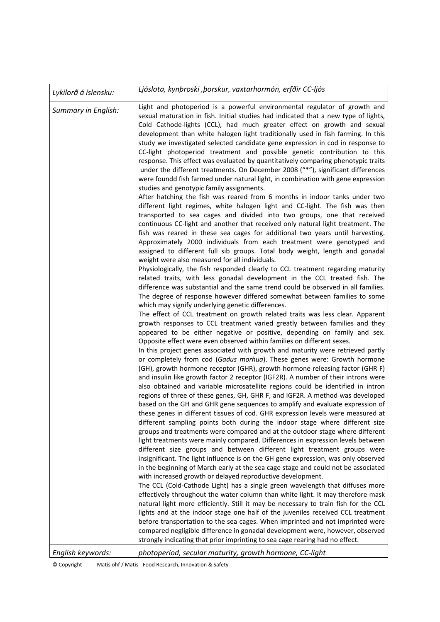| Lykilorð á íslensku:       | Ljóslota, kynþroski , borskur, vaxtarhormón, erfðir CC-ljós                                                                                                                                                                                                                                                                                                                                                                                                                                                                                                                                                                                                                                                                                                                                                                                                                                                                                                                                                                                                                                                                                                                                                                                                                                                                                                                                                                                                                                                                                                                                                                                                                                                                                                                                                                                                                                                                                                                                                                                                                                                                                                                                                                                                                                                                                                                                                                                                                   |
|----------------------------|-------------------------------------------------------------------------------------------------------------------------------------------------------------------------------------------------------------------------------------------------------------------------------------------------------------------------------------------------------------------------------------------------------------------------------------------------------------------------------------------------------------------------------------------------------------------------------------------------------------------------------------------------------------------------------------------------------------------------------------------------------------------------------------------------------------------------------------------------------------------------------------------------------------------------------------------------------------------------------------------------------------------------------------------------------------------------------------------------------------------------------------------------------------------------------------------------------------------------------------------------------------------------------------------------------------------------------------------------------------------------------------------------------------------------------------------------------------------------------------------------------------------------------------------------------------------------------------------------------------------------------------------------------------------------------------------------------------------------------------------------------------------------------------------------------------------------------------------------------------------------------------------------------------------------------------------------------------------------------------------------------------------------------------------------------------------------------------------------------------------------------------------------------------------------------------------------------------------------------------------------------------------------------------------------------------------------------------------------------------------------------------------------------------------------------------------------------------------------------|
| <b>Summary in English:</b> | Light and photoperiod is a powerful environmental regulator of growth and<br>sexual maturation in fish. Initial studies had indicated that a new type of lights,<br>Cold Cathode-lights (CCL), had much greater effect on growth and sexual<br>development than white halogen light traditionally used in fish farming. In this<br>study we investigated selected candidate gene expression in cod in response to<br>CC-light photoperiod treatment and possible genetic contribution to this<br>response. This effect was evaluated by quantitatively comparing phenotypic traits<br>under the different treatments. On December 2008 ("*"), significant differences<br>were foundd fish farmed under natural light, in combination with gene expression<br>studies and genotypic family assignments.<br>After hatching the fish was reared from 6 months in indoor tanks under two<br>different light regimes, white halogen light and CC-light. The fish was then<br>transported to sea cages and divided into two groups, one that received<br>continuous CC-light and another that received only natural light treatment. The<br>fish was reared in these sea cages for additional two years until harvesting.<br>Approximately 2000 individuals from each treatment were genotyped and<br>assigned to different full sib groups. Total body weight, length and gonadal<br>weight were also measured for all individuals.<br>Physiologically, the fish responded clearly to CCL treatment regarding maturity<br>related traits, with less gonadal development in the CCL treated fish. The<br>difference was substantial and the same trend could be observed in all families.<br>The degree of response however differed somewhat between families to some<br>which may signify underlying genetic differences.<br>The effect of CCL treatment on growth related traits was less clear. Apparent<br>growth responses to CCL treatment varied greatly between families and they<br>appeared to be either negative or positive, depending on family and sex.<br>Opposite effect were even observed within families on different sexes.<br>In this project genes associated with growth and maturity were retrieved partly<br>or completely from cod (Gadus morhua). These genes were: Growth hormone<br>(GH), growth hormone receptor (GHR), growth hormone releasing factor (GHR F)<br>and insulin like growth factor 2 receptor (IGF2R). A number of their introns were |
|                            | also obtained and variable microsatellite regions could be identified in intron<br>regions of three of these genes, GH, GHR F, and IGF2R. A method was developed<br>based on the GH and GHR gene sequences to amplify and evaluate expression of<br>these genes in different tissues of cod. GHR expression levels were measured at<br>different sampling points both during the indoor stage where different size<br>groups and treatments were compared and at the outdoor stage where different<br>light treatments were mainly compared. Differences in expression levels between<br>different size groups and between different light treatment groups were<br>insignificant. The light influence is on the GH gene expression, was only observed<br>in the beginning of March early at the sea cage stage and could not be associated                                                                                                                                                                                                                                                                                                                                                                                                                                                                                                                                                                                                                                                                                                                                                                                                                                                                                                                                                                                                                                                                                                                                                                                                                                                                                                                                                                                                                                                                                                                                                                                                                                   |
|                            | with increased growth or delayed reproductive development.<br>The CCL (Cold-Cathode Light) has a single green wavelength that diffuses more<br>effectively throughout the water column than white light. It may therefore mask<br>natural light more efficiently. Still it may be necessary to train fish for the CCL<br>lights and at the indoor stage one half of the juveniles received CCL treatment<br>before transportation to the sea cages. When imprinted and not imprinted were<br>compared negligible difference in gonadal development were, however, observed<br>strongly indicating that prior imprinting to sea cage rearing had no effect.                                                                                                                                                                                                                                                                                                                                                                                                                                                                                                                                                                                                                                                                                                                                                                                                                                                                                                                                                                                                                                                                                                                                                                                                                                                                                                                                                                                                                                                                                                                                                                                                                                                                                                                                                                                                                    |
| English keywords:          | photoperiod, secular maturity, growth hormone, CC-light                                                                                                                                                                                                                                                                                                                                                                                                                                                                                                                                                                                                                                                                                                                                                                                                                                                                                                                                                                                                                                                                                                                                                                                                                                                                                                                                                                                                                                                                                                                                                                                                                                                                                                                                                                                                                                                                                                                                                                                                                                                                                                                                                                                                                                                                                                                                                                                                                       |

© Copyright Matís ohf / Matis ‐ Food Research, Innovation & Safety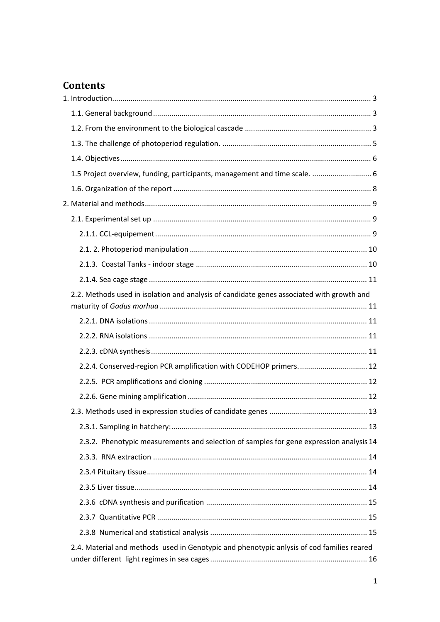## **Contents**

| 1.5 Project overview, funding, participants, management and time scale.  6                |  |
|-------------------------------------------------------------------------------------------|--|
|                                                                                           |  |
|                                                                                           |  |
|                                                                                           |  |
|                                                                                           |  |
|                                                                                           |  |
|                                                                                           |  |
|                                                                                           |  |
| 2.2. Methods used in isolation and analysis of candidate genes associated with growth and |  |
|                                                                                           |  |
|                                                                                           |  |
|                                                                                           |  |
| 2.2.4. Conserved-region PCR amplification with CODEHOP primers.  12                       |  |
|                                                                                           |  |
|                                                                                           |  |
|                                                                                           |  |
|                                                                                           |  |
| 2.3.2. Phenotypic measurements and selection of samples for gene expression analysis 14   |  |
|                                                                                           |  |
|                                                                                           |  |
|                                                                                           |  |
|                                                                                           |  |
|                                                                                           |  |
|                                                                                           |  |
| 2.4. Material and methods used in Genotypic and phenotypic anlysis of cod families reared |  |
|                                                                                           |  |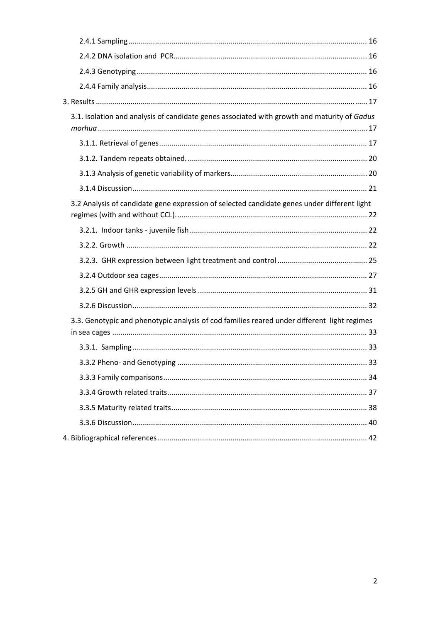| 3.1. Isolation and analysis of candidate genes associated with growth and maturity of Gadus |  |
|---------------------------------------------------------------------------------------------|--|
|                                                                                             |  |
|                                                                                             |  |
|                                                                                             |  |
|                                                                                             |  |
| 3.2 Analysis of candidate gene expression of selected candidate genes under different light |  |
|                                                                                             |  |
|                                                                                             |  |
|                                                                                             |  |
|                                                                                             |  |
|                                                                                             |  |
|                                                                                             |  |
| 3.3. Genotypic and phenotypic analysis of cod families reared under different light regimes |  |
|                                                                                             |  |
|                                                                                             |  |
|                                                                                             |  |
|                                                                                             |  |
|                                                                                             |  |
|                                                                                             |  |
|                                                                                             |  |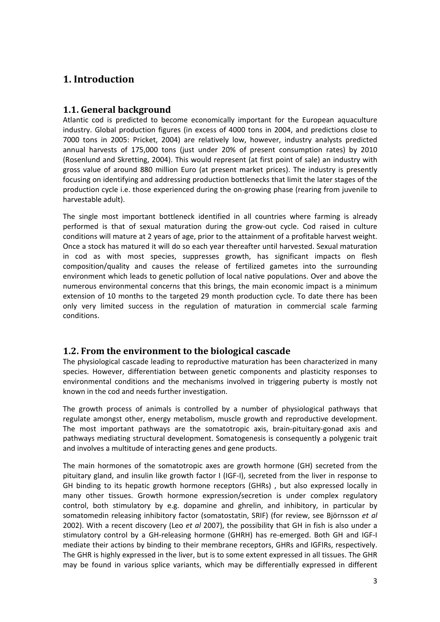## **1. Introduction**

### **1.1. General background**

Atlantic cod is predicted to become economically important for the European aquaculture industry. Global production figures (in excess of 4000 tons in 2004, and predictions close to 7000 tons in 2005: Pricket, 2004) are relatively low, however, industry analysts predicted annual harvests of 175,000 tons (just under 20% of present consumption rates) by 2010 (Rosenlund and Skretting, 2004). This would represent (at first point of sale) an industry with gross value of around 880 million Euro (at present market prices). The industry is presently focusing on identifying and addressing production bottlenecks that limit the later stages of the production cycle i.e. those experienced during the on‐growing phase (rearing from juvenile to harvestable adult).

The single most important bottleneck identified in all countries where farming is already performed is that of sexual maturation during the grow-out cycle. Cod raised in culture conditions will mature at 2 years of age, prior to the attainment of a profitable harvest weight. Once a stock has matured it will do so each year thereafter until harvested. Sexual maturation in cod as with most species, suppresses growth, has significant impacts on flesh composition/quality and causes the release of fertilized gametes into the surrounding environment which leads to genetic pollution of local native populations. Over and above the numerous environmental concerns that this brings, the main economic impact is a minimum extension of 10 months to the targeted 29 month production cycle. To date there has been only very limited success in the regulation of maturation in commercial scale farming conditions.

## **1.2. From the environment to the biological cascade**

The physiological cascade leading to reproductive maturation has been characterized in many species. However, differentiation between genetic components and plasticity responses to environmental conditions and the mechanisms involved in triggering puberty is mostly not known in the cod and needs further investigation.

The growth process of animals is controlled by a number of physiological pathways that regulate amongst other, energy metabolism, muscle growth and reproductive development. The most important pathways are the somatotropic axis, brain‐pituitary‐gonad axis and pathways mediating structural development. Somatogenesis is consequently a polygenic trait and involves a multitude of interacting genes and gene products.

The main hormones of the somatotropic axes are growth hormone (GH) secreted from the pituitary gland, and insulin like growth factor I (IGF‐I), secreted from the liver in response to GH binding to its hepatic growth hormone receptors (GHRs) , but also expressed locally in many other tissues. Growth hormone expression/secretion is under complex regulatory control, both stimulatory by e.g. dopamine and ghrelin, and inhibitory, in particular by somatomedin releasing inhibitory factor (somatostatin, SRIF) (for review, see Björnsson *et al* 2002). With a recent discovery (Leo *et al* 2007), the possibility that GH in fish is also under a stimulatory control by a GH‐releasing hormone (GHRH) has re‐emerged. Both GH and IGF‐I mediate their actions by binding to their membrane receptors, GHRs and IGFIRs, respectively. The GHR is highly expressed in the liver, but is to some extent expressed in all tissues. The GHR may be found in various splice variants, which may be differentially expressed in different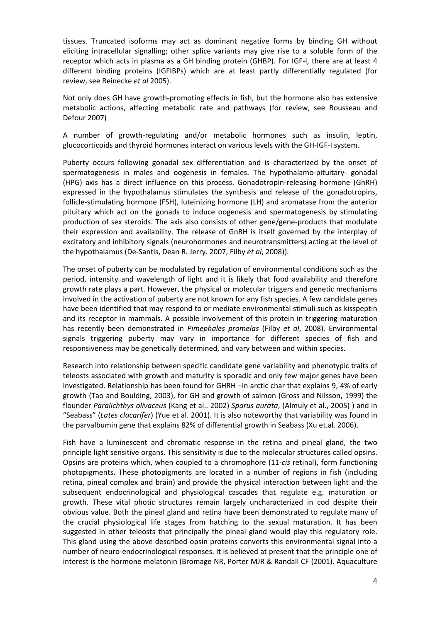tissues. Truncated isoforms may act as dominant negative forms by binding GH without eliciting intracellular signalling; other splice variants may give rise to a soluble form of the receptor which acts in plasma as a GH binding protein (GHBP). For IGF‐I, there are at least 4 different binding proteins (IGFIBPs) which are at least partly differentially regulated (for review, see Reinecke *et al* 2005).

Not only does GH have growth‐promoting effects in fish, but the hormone also has extensive metabolic actions, affecting metabolic rate and pathways (for review, see Rousseau and Defour 2007)

A number of growth‐regulating and/or metabolic hormones such as insulin, leptin, glucocorticoids and thyroid hormones interact on various levels with the GH‐IGF‐I system.

Puberty occurs following gonadal sex differentiation and is characterized by the onset of spermatogenesis in males and oogenesis in females. The hypothalamo-pituitary- gonadal (HPG) axis has a direct influence on this process. Gonadotropin‐releasing hormone (GnRH) expressed in the hypothalamus stimulates the synthesis and release of the gonadotropins, follicle‐stimulating hormone (FSH), luteinizing hormone (LH) and aromatase from the anterior pituitary which act on the gonads to induce oogenesis and spermatogenesis by stimulating production of sex steroids. The axis also consists of other gene/gene-products that modulate their expression and availability. The release of GnRH is itself governed by the interplay of excitatory and inhibitory signals (neurohormones and neurotransmitters) acting at the level of the hypothalamus (De‐Santis, Dean R. Jerry. 2007, Filby *et al*, 2008)).

The onset of puberty can be modulated by regulation of environmental conditions such as the period, intensity and wavelength of light and it is likely that food availability and therefore growth rate plays a part. However, the physical or molecular triggers and genetic mechanisms involved in the activation of puberty are not known for any fish species. A few candidate genes have been identified that may respond to or mediate environmental stimuli such as kisspeptin and its receptor in mammals. A possible involvement of this protein in triggering maturation has recently been demonstrated in *Pimephales promelas* (Filby *et al*, 2008)*.* Environmental signals triggering puberty may vary in importance for different species of fish and responsiveness may be genetically determined, and vary between and within species.

Research into relationship between specific candidate gene variability and phenotypic traits of teleosts associated with growth and maturity is sporadic and only few major genes have been investigated. Relationship has been found for GHRH –in arctic char that explains 9, 4% of early growth (Tao and Boulding, 2003), for GH and growth of salmon (Gross and Nilsson, 1999) the flounder *Paralichthys olivaceus* (Kang et al.. 2002) *Sparus aurata*, (Almuly et al., 2005) ) and in "Seabass" (*Lates clacarifer*) (Yue et al. 2001). It is also noteworthy that variability was found in the parvalbumin gene that explains 82% of differential growth in Seabass (Xu et.al. 2006).

Fish have a luminescent and chromatic response in the retina and pineal gland, the two principle light sensitive organs. This sensitivity is due to the molecular structures called opsins. Opsins are proteins which, when coupled to a chromophore (11‐*cis* retinal), form functioning photopigments. These photopigments are located in a number of regions in fish (including retina, pineal complex and brain) and provide the physical interaction between light and the subsequent endocrinological and physiological cascades that regulate e.g. maturation or growth. These vital photic structures remain largely uncharacterized in cod despite their obvious value. Both the pineal gland and retina have been demonstrated to regulate many of the crucial physiological life stages from hatching to the sexual maturation. It has been suggested in other teleosts that principally the pineal gland would play this regulatory role. This gland using the above described opsin proteins converts this environmental signal into a number of neuro‐endocrinological responses. It is believed at present that the principle one of interest is the hormone melatonin (Bromage NR, Porter MJR & Randall CF (2001). Aquaculture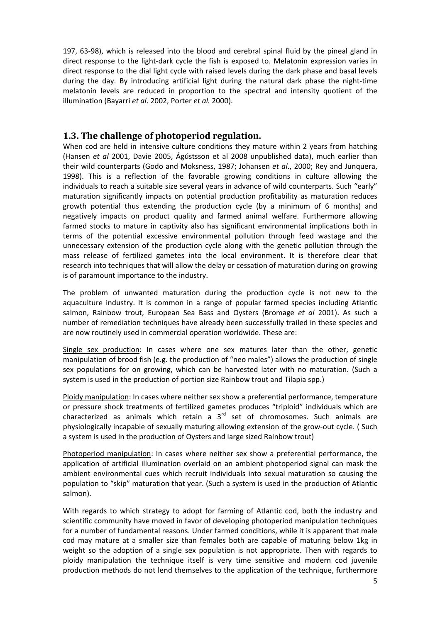197, 63‐98), which is released into the blood and cerebral spinal fluid by the pineal gland in direct response to the light‐dark cycle the fish is exposed to. Melatonin expression varies in direct response to the dial light cycle with raised levels during the dark phase and basal levels during the day. By introducing artificial light during the natural dark phase the night‐time melatonin levels are reduced in proportion to the spectral and intensity quotient of the illumination (Bayarri *et al*. 2002, Porter *et al.* 2000).

#### **1.3. The challenge of photoperiod regulation.**

When cod are held in intensive culture conditions they mature within 2 years from hatching (Hansen *et al* 2001, Davie 2005, Ágústsson et al 2008 unpublished data), much earlier than their wild counterparts (Godo and Moksness, 1987; Johansen *et al*., 2000; Rey and Junquera, 1998). This is a reflection of the favorable growing conditions in culture allowing the individuals to reach a suitable size several years in advance of wild counterparts. Such "early" maturation significantly impacts on potential production profitability as maturation reduces growth potential thus extending the production cycle (by a minimum of 6 months) and negatively impacts on product quality and farmed animal welfare. Furthermore allowing farmed stocks to mature in captivity also has significant environmental implications both in terms of the potential excessive environmental pollution through feed wastage and the unnecessary extension of the production cycle along with the genetic pollution through the mass release of fertilized gametes into the local environment. It is therefore clear that research into techniques that will allow the delay or cessation of maturation during on growing is of paramount importance to the industry.

The problem of unwanted maturation during the production cycle is not new to the aquaculture industry. It is common in a range of popular farmed species including Atlantic salmon, Rainbow trout, European Sea Bass and Oysters (Bromage *et al* 2001). As such a number of remediation techniques have already been successfully trailed in these species and are now routinely used in commercial operation worldwide. These are:

Single sex production: In cases where one sex matures later than the other, genetic manipulation of brood fish (e.g. the production of "neo males") allows the production of single sex populations for on growing, which can be harvested later with no maturation. (Such a system is used in the production of portion size Rainbow trout and Tilapia spp.)

Ploidy manipulation: In cases where neither sex show a preferential performance, temperature or pressure shock treatments of fertilized gametes produces "triploid" individuals which are characterized as animals which retain a  $3<sup>rd</sup>$  set of chromosomes. Such animals are physiologically incapable of sexually maturing allowing extension of the grow‐out cycle. ( Such a system is used in the production of Oysters and large sized Rainbow trout)

Photoperiod manipulation: In cases where neither sex show a preferential performance, the application of artificial illumination overlaid on an ambient photoperiod signal can mask the ambient environmental cues which recruit individuals into sexual maturation so causing the population to "skip" maturation that year. (Such a system is used in the production of Atlantic salmon).

With regards to which strategy to adopt for farming of Atlantic cod, both the industry and scientific community have moved in favor of developing photoperiod manipulation techniques for a number of fundamental reasons. Under farmed conditions, while it is apparent that male cod may mature at a smaller size than females both are capable of maturing below 1kg in weight so the adoption of a single sex population is not appropriate. Then with regards to ploidy manipulation the technique itself is very time sensitive and modern cod juvenile production methods do not lend themselves to the application of the technique, furthermore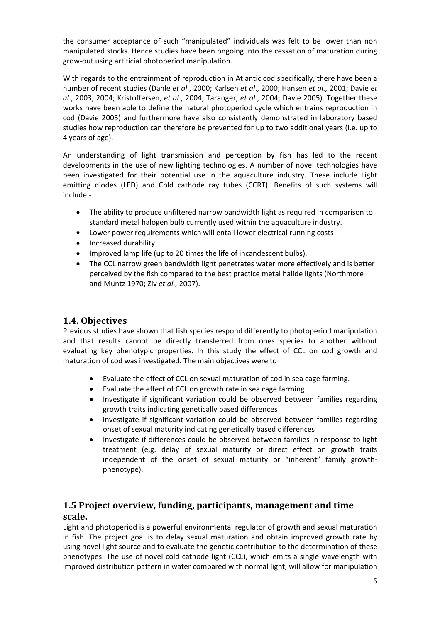the consumer acceptance of such "manipulated" individuals was felt to be lower than non manipulated stocks. Hence studies have been ongoing into the cessation of maturation during grow‐out using artificial photoperiod manipulation.

With regards to the entrainment of reproduction in Atlantic cod specifically, there have been a number of recent studies (Dahle *et al*., 2000; Karlsen *et al*., 2000; Hansen *et al.,* 2001; Davie *et al*., 2003, 2004; Kristoffersen, *et al*., 2004; Taranger, *et al*., 2004; Davie 2005). Together these works have been able to define the natural photoperiod cycle which entrains reproduction in cod (Davie 2005) and furthermore have also consistently demonstrated in laboratory based studies how reproduction can therefore be prevented for up to two additional years (i.e. up to 4 years of age).

An understanding of light transmission and perception by fish has led to the recent developments in the use of new lighting technologies. A number of novel technologies have been investigated for their potential use in the aquaculture industry. These include Light emitting diodes (LED) and Cold cathode ray tubes (CCRT). Benefits of such systems will include:‐

- The ability to produce unfiltered narrow bandwidth light as required in comparison to standard metal halogen bulb currently used within the aquaculture industry.
- Lower power requirements which will entail lower electrical running costs
- Increased durability
- Improved lamp life (up to 20 times the life of incandescent bulbs).
- The CCL narrow green bandwidth light penetrates water more effectively and is better perceived by the fish compared to the best practice metal halide lights (Northmore and Muntz 1970; Ziv *et al.,* 2007).

## **1.4. Objectives**

Previous studies have shown that fish species respond differently to photoperiod manipulation and that results cannot be directly transferred from ones species to another without evaluating key phenotypic properties. In this study the effect of CCL on cod growth and maturation of cod was investigated. The main objectives were to

- Evaluate the effect of CCL on sexual maturation of cod in sea cage farming.
- Evaluate the effect of CCL on growth rate in sea cage farming
- Investigate if significant variation could be observed between families regarding growth traits indicating genetically based differences
- Investigate if significant variation could be observed between families regarding onset of sexual maturity indicating genetically based differences
- Investigate if differences could be observed between families in response to light treatment (e.g. delay of sexual maturity or direct effect on growth traits independent of the onset of sexual maturity or "inherent" family growth‐ phenotype).

#### **1.5 Project overview, funding, participants, management and time scale.**

Light and photoperiod is a powerful environmental regulator of growth and sexual maturation in fish. The project goal is to delay sexual maturation and obtain improved growth rate by using novel light source and to evaluate the genetic contribution to the determination of these phenotypes. The use of novel cold cathode light (CCL), which emits a single wavelength with improved distribution pattern in water compared with normal light, will allow for manipulation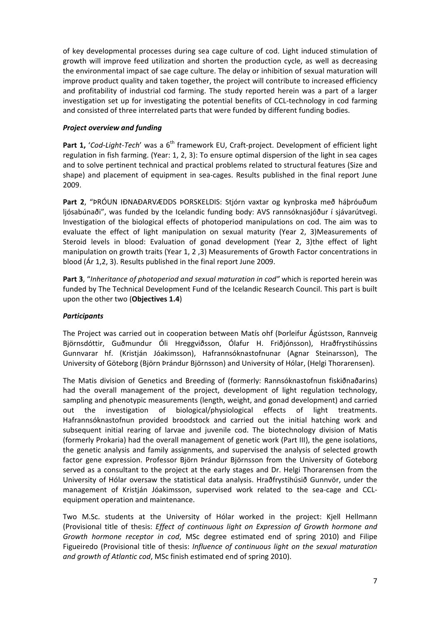of key developmental processes during sea cage culture of cod. Light induced stimulation of growth will improve feed utilization and shorten the production cycle, as well as decreasing the environmental impact of sae cage culture. The delay or inhibition of sexual maturation will improve product quality and taken together, the project will contribute to increased efficiency and profitability of industrial cod farming. The study reported herein was a part of a larger investigation set up for investigating the potential benefits of CCL-technology in cod farming and consisted of three interrelated parts that were funded by different funding bodies.

#### *Project overview and funding*

**Part 1,** '*Cod‐Light‐Tech*' was a 6th framework EU, Craft‐project. Development of efficient light regulation in fish farming. (Year: 1, 2, 3): To ensure optimal dispersion of the light in sea cages and to solve pertinent technical and practical problems related to structural features (Size and shape) and placement of equipment in sea-cages. Results published in the final report June 2009.

**Part 2**, "ÞRÓUN IÐNAÐARVÆDDS ÞORSKELDIS: Stjórn vaxtar og kynþroska með háþróuðum ljósabúnaði", was funded by the Icelandic funding body: AVS rannsóknasjóður í sjávarútvegi. Investigation of the biological effects of photoperiod manipulations on cod. The aim was to evaluate the effect of light manipulation on sexual maturity (Year 2, 3)Measurements of Steroid levels in blood: Evaluation of gonad development (Year 2, 3)the effect of light manipulation on growth traits (Year 1, 2 ,3) Measurements of Growth Factor concentrations in blood (Ár 1,2, 3). Results published in the final report June 2009.

**Part 3**, "*Inheritance of photoperiod and sexual maturation in cod"* which is reported herein was funded by The Technical Development Fund of the Icelandic Research Council. This part is built upon the other two (**Objectives 1.4**)

#### *Participants*

The Project was carried out in cooperation between Matís ohf (Þorleifur Ágústsson, Rannveig Björnsdóttir, Guðmundur Óli Hreggviðsson, Ólafur H. Friðjónsson), Hraðfrystihússins Gunnvarar hf. (Kristján Jóakimsson), Hafrannsóknastofnunar (Agnar Steinarsson), The University of Göteborg (Björn Þrándur Björnsson) and University of Hólar, (Helgi Thorarensen).

The Matis division of Genetics and Breeding of (formerly: Rannsóknastofnun fiskiðnaðarins) had the overall management of the project, development of light regulation technology, sampling and phenotypic measurements (length, weight, and gonad development) and carried out the investigation of biological/physiological effects of light treatments. Hafrannsóknastofnun provided broodstock and carried out the initial hatching work and subsequent initial rearing of larvae and juvenile cod. The biotechnology division of Matis (formerly Prokaria) had the overall management of genetic work (Part III), the gene isolations, the genetic analysis and family assignments, and supervised the analysis of selected growth factor gene expression. Professor Björn Þrándur Björnsson from the University of Goteborg served as a consultant to the project at the early stages and Dr. Helgi Thorarensen from the University of Hólar oversaw the statistical data analysis. Hraðfrystihúsið Gunnvör, under the management of Kristján Jóakimsson, supervised work related to the sea‐cage and CCL‐ equipment operation and maintenance.

Two M.Sc. students at the University of Hólar worked in the project: Kjell Hellmann (Provisional title of thesis: *Effect of continuous light on Expression of Growth hormone and Growth hormone receptor in cod*, MSc degree estimated end of spring 2010) and Filipe Figueiredo (Provisional title of thesis: *Influence of continuous light on the sexual maturation and growth of Atlantic cod*, MSc finish estimated end of spring 2010).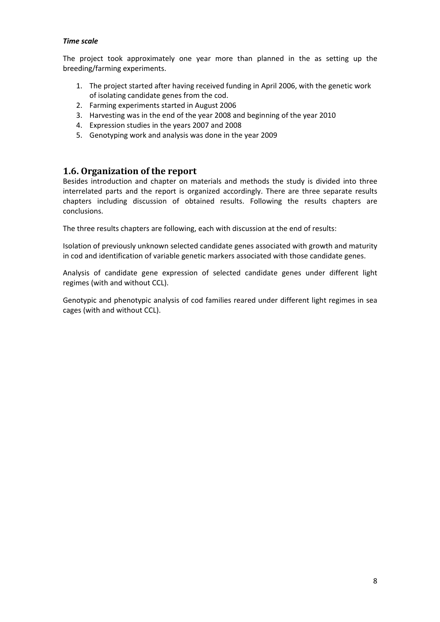#### *Time scale*

The project took approximately one year more than planned in the as setting up the breeding/farming experiments.

- 1. The project started after having received funding in April 2006, with the genetic work of isolating candidate genes from the cod.
- 2. Farming experiments started in August 2006
- 3. Harvesting was in the end of the year 2008 and beginning of the year 2010
- 4. Expression studies in the years 2007 and 2008
- 5. Genotyping work and analysis was done in the year 2009

#### **1.6. Organization of the report**

Besides introduction and chapter on materials and methods the study is divided into three interrelated parts and the report is organized accordingly. There are three separate results chapters including discussion of obtained results. Following the results chapters are conclusions.

The three results chapters are following, each with discussion at the end of results:

Isolation of previously unknown selected candidate genes associated with growth and maturity in cod and identification of variable genetic markers associated with those candidate genes.

Analysis of candidate gene expression of selected candidate genes under different light regimes (with and without CCL).

Genotypic and phenotypic analysis of cod families reared under different light regimes in sea cages (with and without CCL).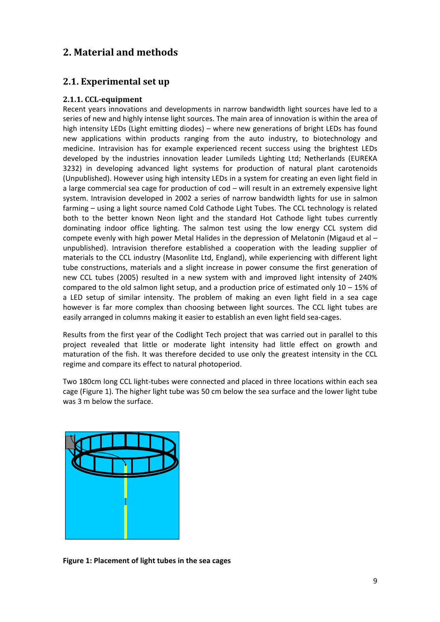## **2. Material and methods**

## **2.1. Experimental set up**

#### **2.1.1. CCLequipment**

Recent years innovations and developments in narrow bandwidth light sources have led to a series of new and highly intense light sources. The main area of innovation is within the area of high intensity LEDs (Light emitting diodes) – where new generations of bright LEDs has found new applications within products ranging from the auto industry, to biotechnology and medicine. Intravision has for example experienced recent success using the brightest LEDs developed by the industries innovation leader Lumileds Lighting Ltd; Netherlands (EUREKA 3232) in developing advanced light systems for production of natural plant carotenoids (Unpublished). However using high intensity LEDs in a system for creating an even light field in a large commercial sea cage for production of cod – will result in an extremely expensive light system. Intravision developed in 2002 a series of narrow bandwidth lights for use in salmon farming – using a light source named Cold Cathode Light Tubes. The CCL technology is related both to the better known Neon light and the standard Hot Cathode light tubes currently dominating indoor office lighting. The salmon test using the low energy CCL system did compete evenly with high power Metal Halides in the depression of Melatonin (Migaud et al – unpublished). Intravision therefore established a cooperation with the leading supplier of materials to the CCL industry (Masonlite Ltd, England), while experiencing with different light tube constructions, materials and a slight increase in power consume the first generation of new CCL tubes (2005) resulted in a new system with and improved light intensity of 240% compared to the old salmon light setup, and a production price of estimated only  $10 - 15\%$  of a LED setup of similar intensity. The problem of making an even light field in a sea cage however is far more complex than choosing between light sources. The CCL light tubes are easily arranged in columns making it easier to establish an even light field sea‐cages.

Results from the first year of the Codlight Tech project that was carried out in parallel to this project revealed that little or moderate light intensity had little effect on growth and maturation of the fish. It was therefore decided to use only the greatest intensity in the CCL regime and compare its effect to natural photoperiod.

Two 180cm long CCL light-tubes were connected and placed in three locations within each sea cage (Figure 1). The higher light tube was 50 cm below the sea surface and the lower light tube was 3 m below the surface.



**Figure 1: Placement of light tubes in the sea cages**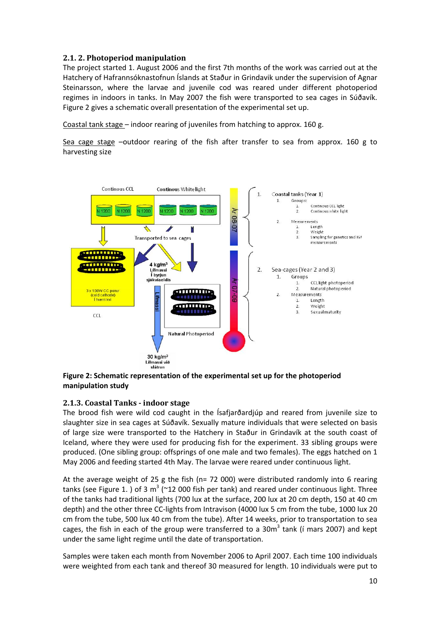#### **2.1. 2. Photoperiod manipulation**

The project started 1. August 2006 and the first 7th months of the work was carried out at the Hatchery of Hafrannsóknastofnun Íslands at Staður in Grindavik under the supervision of Agnar Steinarsson, where the larvae and juvenile cod was reared under different photoperiod regimes in indoors in tanks. In May 2007 the fish were transported to sea cages in Súðavík. Figure 2 gives a schematic overall presentation of the experimental set up.

Coastal tank stage – indoor rearing of juveniles from hatching to approx. 160 g.

Sea cage stage -outdoor rearing of the fish after transfer to sea from approx. 160 g to harvesting size



**Figure 2: Schematic representation of the experimental set up for the photoperiod manipulation study**

#### **2.1.3. Coastal Tanks indoor stage**

The brood fish were wild cod caught in the Ísafjarðardjúp and reared from juvenile size to slaughter size in sea cages at Súðavík. Sexually mature individuals that were selected on basis of large size were transported to the Hatchery in Staður in Grindavík at the south coast of Iceland, where they were used for producing fish for the experiment. 33 sibling groups were produced. (One sibling group: offsprings of one male and two females). The eggs hatched on 1 May 2006 and feeding started 4th May. The larvae were reared under continuous light.

At the average weight of 25 g the fish (n= 72 000) were distributed randomly into 6 rearing tanks (see Figure 1.) of 3  $m^3$  (~12 000 fish per tank) and reared under continuous light. Three of the tanks had traditional lights (700 lux at the surface, 200 lux at 20 cm depth, 150 at 40 cm depth) and the other three CC-lights from Intravison (4000 lux 5 cm from the tube, 1000 lux 20 cm from the tube, 500 lux 40 cm from the tube). After 14 weeks, prior to transportation to sea cages, the fish in each of the group were transferred to a  $30m<sup>3</sup>$  tank (i mars 2007) and kept under the same light regime until the date of transportation.

Samples were taken each month from November 2006 to April 2007. Each time 100 individuals were weighted from each tank and thereof 30 measured for length. 10 individuals were put to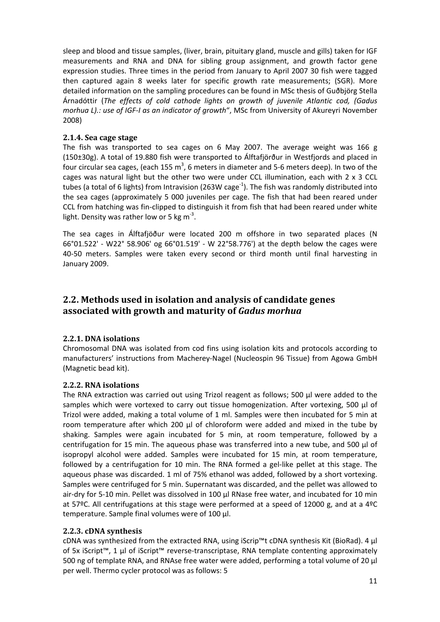sleep and blood and tissue samples, (liver, brain, pituitary gland, muscle and gills) taken for IGF measurements and RNA and DNA for sibling group assignment, and growth factor gene expression studies. Three times in the period from January to April 2007 30 fish were tagged then captured again 8 weeks later for specific growth rate measurements; (SGR). More detailed information on the sampling procedures can be found in MSc thesis of Guðbjörg Stella Árnadóttir (*The effects of cold cathode lights on growth of juvenile Atlantic cod, (Gadus morhua L).: use of IGF‐I as an indicator of growth*", MSc from University of Akureyri November 2008)

#### **2.1.4. Sea cage stage**

The fish was transported to sea cages on 6 May 2007. The average weight was 166 g (150±30g). A total of 19.880 fish were transported to Álftafjörður in Westfjords and placed in four circular sea cages, (each 155 m<sup>3</sup>, 6 meters in diameter and 5-6 meters deep). In two of the cages was natural light but the other two were under CCL illumination, each with 2 x 3 CCL tubes (a total of 6 lights) from Intravision (263W cage<sup>-1</sup>). The fish was randomly distributed into the sea cages (approximately 5 000 juveniles per cage. The fish that had been reared under CCL from hatching was fin‐clipped to distinguish it from fish that had been reared under white light. Density was rather low or 5 kg  $m^{-3}$ .

The sea cages in Álftafjöður were located 200 m offshore in two separated places (N 66°01.522' ‐ W22° 58.906' og 66°01.519' ‐ W 22°58.776') at the depth below the cages were 40-50 meters. Samples were taken every second or third month until final harvesting in January 2009.

## **2.2. Methods used in isolation and analysis of candidate genes associated with growth and maturity of** *Gadus morhua*

#### **2.2.1. DNA isolations**

Chromosomal DNA was isolated from cod fins using isolation kits and protocols according to manufacturers' instructions from Macherey‐Nagel (Nucleospin 96 Tissue) from Agowa GmbH (Magnetic bead kit).

#### **2.2.2. RNA isolations**

The RNA extraction was carried out using Trizol reagent as follows; 500 µl were added to the samples which were vortexed to carry out tissue homogenization. After vortexing, 500 µl of Trizol were added, making a total volume of 1 ml. Samples were then incubated for 5 min at room temperature after which 200 µl of chloroform were added and mixed in the tube by shaking. Samples were again incubated for 5 min, at room temperature, followed by a centrifugation for 15 min. The aqueous phase was transferred into a new tube, and 500 µl of isopropyl alcohol were added. Samples were incubated for 15 min, at room temperature, followed by a centrifugation for 10 min. The RNA formed a gel-like pellet at this stage. The aqueous phase was discarded. 1 ml of 75% ethanol was added, followed by a short vortexing. Samples were centrifuged for 5 min. Supernatant was discarded, and the pellet was allowed to air-dry for 5-10 min. Pellet was dissolved in 100 µl RNase free water, and incubated for 10 min at 57ºC. All centrifugations at this stage were performed at a speed of 12000 g, and at a 4ºC temperature. Sample final volumes were of 100 µl.

#### **2.2.3. cDNA synthesis**

cDNA was synthesized from the extracted RNA, using iScrip™t cDNA synthesis Kit (BioRad). 4 µl of 5x iScript™, 1 µl of iScript™ reverse‐transcriptase, RNA template contenting approximately 500 ng of template RNA, and RNAse free water were added, performing a total volume of 20 µl per well. Thermo cycler protocol was as follows: 5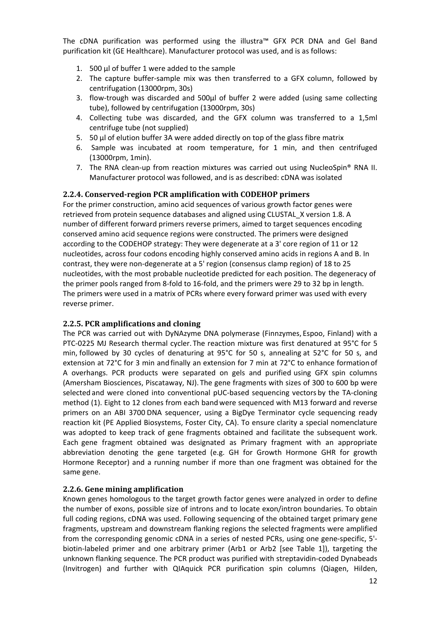The cDNA purification was performed using the illustra™ GFX PCR DNA and Gel Band purification kit (GE Healthcare). Manufacturer protocol was used, and is as follows:

- 1. 500 µl of buffer 1 were added to the sample
- 2. The capture buffer‐sample mix was then transferred to a GFX column, followed by centrifugation (13000rpm, 30s)
- 3. flow‐trough was discarded and 500µl of buffer 2 were added (using same collecting tube), followed by centrifugation (13000rpm, 30s)
- 4. Collecting tube was discarded, and the GFX column was transferred to a 1,5ml centrifuge tube (not supplied)
- 5. 50 µl of elution buffer 3A were added directly on top of the glass fibre matrix
- 6. Sample was incubated at room temperature, for 1 min, and then centrifuged (13000rpm, 1min).
- 7. The RNA clean‐up from reaction mixtures was carried out using NucleoSpin® RNA II. Manufacturer protocol was followed, and is as described: cDNA was isolated

#### **2.2.4. Conservedregion PCR amplification with CODEHOP primers**

For the primer construction, amino acid sequences of various growth factor genes were retrieved from protein sequence databases and aligned using CLUSTAL\_X version 1.8. A number of different forward primers reverse primers, aimed to target sequences encoding conserved amino acid sequence regions were constructed. The primers were designed according to the CODEHOP strategy: They were degenerate at a 3' core region of 11 or 12 nucleotides, across four codons encoding highly conserved amino acids in regions A and B. In contrast, they were non‐degenerate at a 5' region (consensus clamp region) of 18 to 25 nucleotides, with the most probable nucleotide predicted for each position. The degeneracy of the primer pools ranged from 8‐fold to 16‐fold, and the primers were 29 to 32 bp in length. The primers were used in a matrix of PCRs where every forward primer was used with every reverse primer.

#### **2.2.5. PCR amplifications and cloning**

The PCR was carried out with DyNAzyme DNA polymerase (Finnzymes, Espoo, Finland) with a PTC‐0225 MJ Research thermal cycler. The reaction mixture was first denatured at 95°C for 5 min, followed by 30 cycles of denaturing at 95°C for 50 s, annealing at 52°C for 50 s, and extension at 72°C for 3 min and finally an extension for 7 min at 72°C to enhance formation of A overhangs. PCR products were separated on gels and purified using GFX spin columns (Amersham Biosciences, Piscataway, NJ). The gene fragments with sizes of 300 to 600 bp were selected and were cloned into conventional pUC-based sequencing vectors by the TA-cloning method (1). Eight to 12 clones from each bandwere sequenced with M13 forward and reverse primers on an ABI 3700 DNA sequencer, using a BigDye Terminator cycle sequencing ready reaction kit (PE Applied Biosystems, Foster City, CA). To ensure clarity a special nomenclature was adopted to keep track of gene fragments obtained and facilitate the subsequent work. Each gene fragment obtained was designated as Primary fragment with an appropriate abbreviation denoting the gene targeted (e.g. GH for Growth Hormone GHR for growth Hormone Receptor) and a running number if more than one fragment was obtained for the same gene.

#### **2.2.6. Gene mining amplification**

Known genes homologous to the target growth factor genes were analyzed in order to define the number of exons, possible size of introns and to locate exon/intron boundaries. To obtain full coding regions, cDNA was used. Following sequencing of the obtained target primary gene fragments, upstream and downstream flanking regions the selected fragments were amplified from the corresponding genomic cDNA in a series of nested PCRs, using one gene-specific, 5'biotin‐labeled primer and one arbitrary primer (Arb1 or Arb2 [see Table 1]), targeting the unknown flanking sequence. The PCR product was purified with streptavidin‐coded Dynabeads (Invitrogen) and further with QIAquick PCR purification spin columns (Qiagen, Hilden,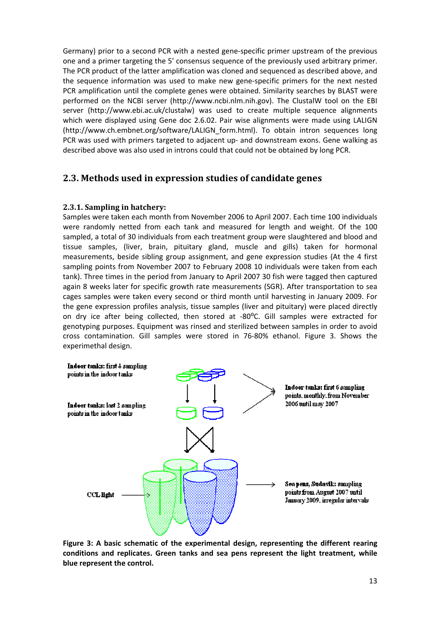Germany) prior to a second PCR with a nested gene‐specific primer upstream of the previous one and a primer targeting the 5' consensus sequence of the previously used arbitrary primer. The PCR product of the latter amplification was cloned and sequenced as described above, and the sequence information was used to make new gene‐specific primers for the next nested PCR amplification until the complete genes were obtained. Similarity searches by BLAST were performed on the NCBI server (http://www.ncbi.nlm.nih.gov). The ClustalW tool on the EBI server (http://www.ebi.ac.uk/clustalw) was used to create multiple sequence alignments which were displayed using Gene doc 2.6.02. Pair wise alignments were made using LALIGN (http://www.ch.embnet.org/software/LALIGN\_form.html). To obtain intron sequences long PCR was used with primers targeted to adjacent up- and downstream exons. Gene walking as described above was also used in introns could that could not be obtained by long PCR.

## **2.3. Methods used in expression studies of candidate genes**

#### **2.3.1. Sampling in hatchery:**

Samples were taken each month from November 2006 to April 2007. Each time 100 individuals were randomly netted from each tank and measured for length and weight. Of the 100 sampled, a total of 30 individuals from each treatment group were slaughtered and blood and tissue samples, (liver, brain, pituitary gland, muscle and gills) taken for hormonal measurements, beside sibling group assignment, and gene expression studies (At the 4 first sampling points from November 2007 to February 2008 10 individuals were taken from each tank). Three times in the period from January to April 2007 30 fish were tagged then captured again 8 weeks later for specific growth rate measurements (SGR). After transportation to sea cages samples were taken every second or third month until harvesting in January 2009. For the gene expression profiles analysis, tissue samples (liver and pituitary) were placed directly on dry ice after being collected, then stored at -80°C. Gill samples were extracted for genotyping purposes. Equipment was rinsed and sterilized between samples in order to avoid cross contamination. Gill samples were stored in 76‐80% ethanol. Figure 3. Shows the experimethal design.



**Figure 3: A basic schematic of the experimental design, representing the different rearing conditions and replicates. Green tanks and sea pens represent the light treatment, while blue represent the control.**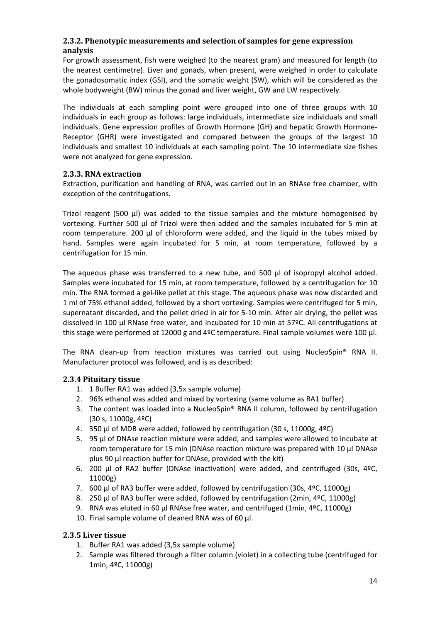#### **2.3.2. Phenotypic measurements and selection of samples for gene expression analysis**

For growth assessment, fish were weighed (to the nearest gram) and measured for length (to the nearest centimetre). Liver and gonads, when present, were weighed in order to calculate the gonadosomatic index (GSI), and the somatic weight (SW), which will be considered as the whole bodyweight (BW) minus the gonad and liver weight, GW and LW respectively.

The individuals at each sampling point were grouped into one of three groups with 10 individuals in each group as follows: large individuals, intermediate size individuals and small individuals. Gene expression profiles of Growth Hormone (GH) and hepatic Growth Hormone‐ Receptor (GHR) were investigated and compared between the groups of the largest 10 individuals and smallest 10 individuals at each sampling point. The 10 intermediate size fishes were not analyzed for gene expression.

#### **2.3.3. RNA extraction**

Extraction, purification and handling of RNA, was carried out in an RNAse free chamber, with exception of the centrifugations.

Trizol reagent (500 µl) was added to the tissue samples and the mixture homogenised by vortexing. Further 500 µl of Trizol were then added and the samples incubated for 5 min at room temperature. 200 µl of chloroform were added, and the liquid in the tubes mixed by hand. Samples were again incubated for 5 min, at room temperature, followed by a centrifugation for 15 min.

The aqueous phase was transferred to a new tube, and 500 µl of isopropyl alcohol added. Samples were incubated for 15 min, at room temperature, followed by a centrifugation for 10 min. The RNA formed a gel‐like pellet at this stage. The aqueous phase was now discarded and 1 ml of 75% ethanol added, followed by a short vortexing. Samples were centrifuged for 5 min, supernatant discarded, and the pellet dried in air for 5‐10 min. After air drying, the pellet was dissolved in 100  $\mu$ l RNase free water, and incubated for 10 min at 57ºC. All centrifugations at this stage were performed at 12000 g and 4ºC temperature. Final sample volumes were 100 µl.

The RNA clean-up from reaction mixtures was carried out using NucleoSpin<sup>®</sup> RNA II. Manufacturer protocol was followed, and is as described:

#### **2.3.4 Pituitary tissue**

- 1. 1 Buffer RA1 was added (3,5x sample volume)
- 2. 96% ethanol was added and mixed by vortexing (same volume as RA1 buffer)
- 3. The content was loaded into a NucleoSpin® RNA II column, followed by centrifugation (30 s, 11000g, 4ºC)
- 4. 350 µl of MDB were added, followed by centrifugation (30 s, 11000g, 4ºC)
- 5. 95 µl of DNAse reaction mixture were added, and samples were allowed to incubate at room temperature for 15 min (DNAse reaction mixture was prepared with 10 µl DNAse plus 90 µl reaction buffer for DNAse, provided with the kit)
- 6. 200 µl of RA2 buffer (DNAse inactivation) were added, and centrifuged (30s, 4ºC, 11000g)
- 7. 600 µl of RA3 buffer were added, followed by centrifugation (30s, 4ºC, 11000g)
- 8. 250 µl of RA3 buffer were added, followed by centrifugation (2min, 4ºC, 11000g)
- 9. RNA was eluted in 60 µl RNAse free water, and centrifuged (1min, 4ºC, 11000g)
- 10. Final sample volume of cleaned RNA was of 60 µl.

#### **2.3.5 Liver tissue**

- 1. Buffer RA1 was added (3,5x sample volume)
- 2. Sample was filtered through a filter column (violet) in a collecting tube (centrifuged for 1min, 4ºC, 11000g)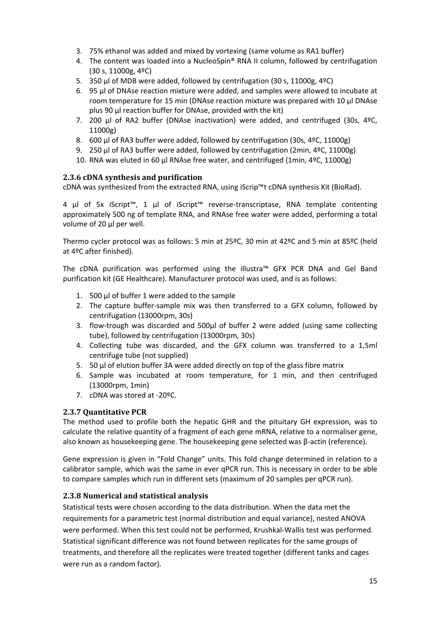- 3. 75% ethanol was added and mixed by vortexing (same volume as RA1 buffer)
- 4. The content was loaded into a NucleoSpin® RNA II column, followed by centrifugation (30 s, 11000g, 4ºC)
- 5. 350 µl of MDB were added, followed by centrifugation (30 s, 11000g, 4ºC)
- 6. 95 µl of DNAse reaction mixture were added, and samples were allowed to incubate at room temperature for 15 min (DNAse reaction mixture was prepared with 10 µl DNAse plus 90 µl reaction buffer for DNAse, provided with the kit)
- 7. 200 µl of RA2 buffer (DNAse inactivation) were added, and centrifuged (30s, 4ºC, 11000g)
- 8. 600 µl of RA3 buffer were added, followed by centrifugation (30s, 4ºC, 11000g)
- 9. 250 µl of RA3 buffer were added, followed by centrifugation (2min, 4ºC, 11000g)
- 10. RNA was eluted in 60 µl RNAse free water, and centrifuged (1min, 4ºC, 11000g)

#### **2.3.6 cDNA synthesis and purification**

cDNA was synthesized from the extracted RNA, using iScrip™t cDNA synthesis Kit (BioRad).

4 µl of 5x iScript™, 1 µl of iScript™ reverse‐transcriptase, RNA template contenting approximately 500 ng of template RNA, and RNAse free water were added, performing a total volume of 20 µl per well.

Thermo cycler protocol was as follows: 5 min at 25ºC, 30 min at 42ºC and 5 min at 85ºC (held at 4ºC after finished).

The cDNA purification was performed using the illustra™ GFX PCR DNA and Gel Band purification kit (GE Healthcare). Manufacturer protocol was used, and is as follows:

- 1. 500 µl of buffer 1 were added to the sample
- 2. The capture buffer‐sample mix was then transferred to a GFX column, followed by centrifugation (13000rpm, 30s)
- 3. flow-trough was discarded and 500µl of buffer 2 were added (using same collecting tube), followed by centrifugation (13000rpm, 30s)
- 4. Collecting tube was discarded, and the GFX column was transferred to a 1,5ml centrifuge tube (not supplied)
- 5. 50 µl of elution buffer 3A were added directly on top of the glass fibre matrix
- 6. Sample was incubated at room temperature, for 1 min, and then centrifuged (13000rpm, 1min)
- 7. cDNA was stored at ‐20ºC.

#### **2.3.7 Quantitative PCR**

The method used to profile both the hepatic GHR and the pituitary GH expression, was to calculate the relative quantity of a fragment of each gene mRNA, relative to a normaliser gene, also known as housekeeping gene. The housekeeping gene selected was β‐actin (reference).

Gene expression is given in "Fold Change" units. This fold change determined in relation to a calibrator sample, which was the same in ever qPCR run. This is necessary in order to be able to compare samples which run in different sets (maximum of 20 samples per qPCR run).

#### **2.3.8 Numerical and statistical analysis**

Statistical tests were chosen according to the data distribution. When the data met the requirements for a parametric test (normal distribution and equal variance), nested ANOVA were performed. When this test could not be performed, Krushkal‐Wallis test was performed. Statistical significant difference was not found between replicates for the same groups of treatments, and therefore all the replicates were treated together (different tanks and cages were run as a random factor).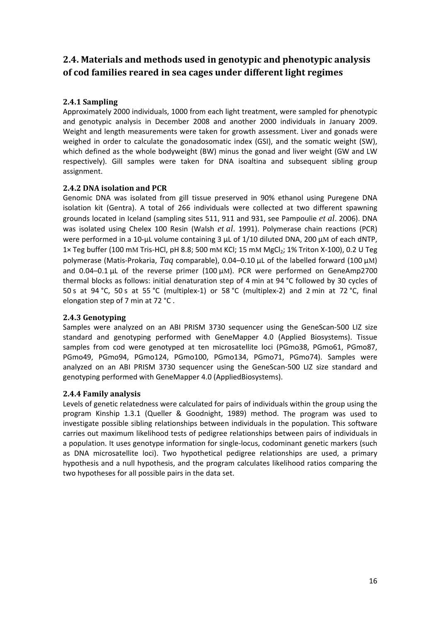## **2.4. Materials and methods used in genotypic and phenotypic analysis of cod families reared in sea cages under different light regimes**

#### **2.4.1 Sampling**

Approximately 2000 individuals, 1000 from each light treatment, were sampled for phenotypic and genotypic analysis in December 2008 and another 2000 individuals in January 2009. Weight and length measurements were taken for growth assessment. Liver and gonads were weighed in order to calculate the gonadosomatic index (GSI), and the somatic weight (SW), which defined as the whole bodyweight (BW) minus the gonad and liver weight (GW and LW respectively). Gill samples were taken for DNA isoaltina and subsequent sibling group assignment.

#### **2.4.2 DNA isolation and PCR**

Genomic DNA was isolated from gill tissue preserved in 90% ethanol using Puregene DNA isolation kit (Gentra). A total of 266 individuals were collected at two different spawning grounds located in Iceland (sampling sites 511, 911 and 931, see Pampoulie *et al*. 2006). DNA was isolated using Chelex 100 Resin (Walsh *et al*. 1991). Polymerase chain reactions (PCR) were performed in a 10-µL volume containing 3 µL of 1/10 diluted DNA, 200 µM of each dNTP, 1× Teg buffer (100 mM Tris-HCl, pH 8.8; 500 mM KCl; 15 mM MgCl<sub>2</sub>; 1% Triton X-100), 0.2 U Teg polymerase (Matis‐Prokaria, *Taq* comparable), 0.04–0.10 µL of the labelled forward (100 µM) and  $0.04-0.1 \,\mu$ L of the reverse primer (100  $\mu$ M). PCR were performed on GeneAmp2700 thermal blocks as follows: initial denaturation step of 4 min at 94 °C followed by 30 cycles of 50 s at 94 °C, 50 s at 55 °C (multiplex-1) or 58 °C (multiplex-2) and 2 min at 72 °C, final elongation step of 7 min at 72 °C .

#### **2.4.3 Genotyping**

Samples were analyzed on an ABI PRISM 3730 sequencer using the GeneScan‐500 LIZ size standard and genotyping performed with GeneMapper 4.0 (Applied Biosystems). Tissue samples from cod were genotyped at ten microsatellite loci (PGmo38, PGmo61, PGmo87, PGmo49, PGmo94, PGmo124, PGmo100, PGmo134, PGmo71, PGmo74). Samples were analyzed on an ABI PRISM 3730 sequencer using the GeneScan‐500 LIZ size standard and genotyping performed with GeneMapper 4.0 (AppliedBiosystems).

#### **2.4.4 Family analysis**

Levels of genetic relatedness were calculated for pairs of individuals within the group using the program Kinship 1.3.1 (Queller & Goodnight, 1989) method. The program was used to investigate possible sibling relationships between individuals in the population. This software carries out maximum likelihood tests of pedigree relationships between pairs of individuals in a population. It uses genotype information for single‐locus, codominant genetic markers (such as DNA microsatellite loci). Two hypothetical pedigree relationships are used, a primary hypothesis and a null hypothesis, and the program calculates likelihood ratios comparing the two hypotheses for all possible pairs in the data set.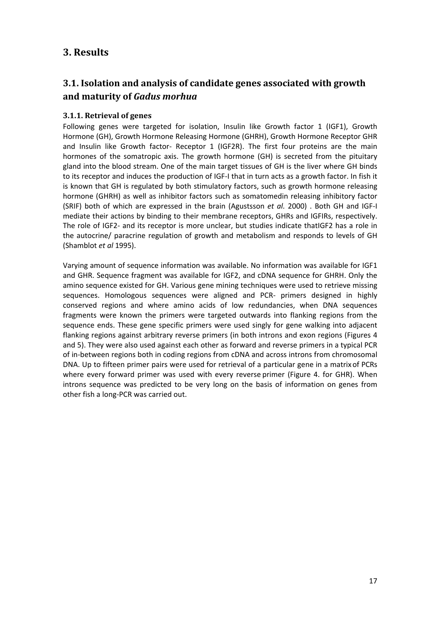## **3. Results**

## **3.1. Isolation and analysis of candidate genes associated with growth and maturity of** *Gadus morhua*

#### **3.1.1. Retrieval of genes**

Following genes were targeted for isolation, Insulin like Growth factor 1 (IGF1), Growth Hormone (GH), Growth Hormone Releasing Hormone (GHRH), Growth Hormone Receptor GHR and Insulin like Growth factor- Receptor 1 (IGF2R). The first four proteins are the main hormones of the somatropic axis. The growth hormone (GH) is secreted from the pituitary gland into the blood stream. One of the main target tissues of GH is the liver where GH binds to its receptor and induces the production of IGF‐I that in turn acts as a growth factor. In fish it is known that GH is regulated by both stimulatory factors, such as growth hormone releasing hormone (GHRH) as well as inhibitor factors such as somatomedin releasing inhibitory factor (SRIF) both of which are expressed in the brain (Agustsson *et al.* 2000) . Both GH and IGF‐I mediate their actions by binding to their membrane receptors, GHRs and IGFIRs, respectively. The role of IGF2‐ and its receptor is more unclear, but studies indicate thatIGF2 has a role in the autocrine/ paracrine regulation of growth and metabolism and responds to levels of GH (Shamblot *et al* 1995).

Varying amount of sequence information was available. No information was available for IGF1 and GHR. Sequence fragment was available for IGF2, and cDNA sequence for GHRH. Only the amino sequence existed for GH. Various gene mining techniques were used to retrieve missing sequences. Homologous sequences were aligned and PCR‐ primers designed in highly conserved regions and where amino acids of low redundancies, when DNA sequences fragments were known the primers were targeted outwards into flanking regions from the sequence ends. These gene specific primers were used singly for gene walking into adjacent flanking regions against arbitrary reverse primers (in both introns and exon regions (Figures 4 and 5). They were also used against each other as forward and reverse primers in a typical PCR of in‐between regions both in coding regions from cDNA and across introns from chromosomal DNA. Up to fifteen primer pairs were used for retrieval of a particular gene in a matrixof PCRs where every forward primer was used with every reverse primer (Figure 4. for GHR). When introns sequence was predicted to be very long on the basis of information on genes from other fish a long‐PCR was carried out.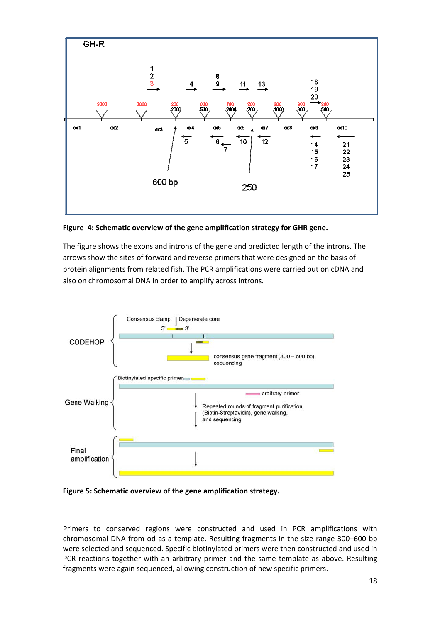

**Figure 4: Schematic overview of the gene amplification strategy for GHR gene.**

The figure shows the exons and introns of the gene and predicted length of the introns. The arrows show the sites of forward and reverse primers that were designed on the basis of protein alignments from related fish. The PCR amplifications were carried out on cDNA and also on chromosomal DNA in order to amplify across introns.





Primers to conserved regions were constructed and used in PCR amplifications with chromosomal DNA from od as a template. Resulting fragments in the size range 300–600 bp were selected and sequenced. Specific biotinylated primers were then constructed and used in PCR reactions together with an arbitrary primer and the same template as above. Resulting fragments were again sequenced, allowing construction of new specific primers.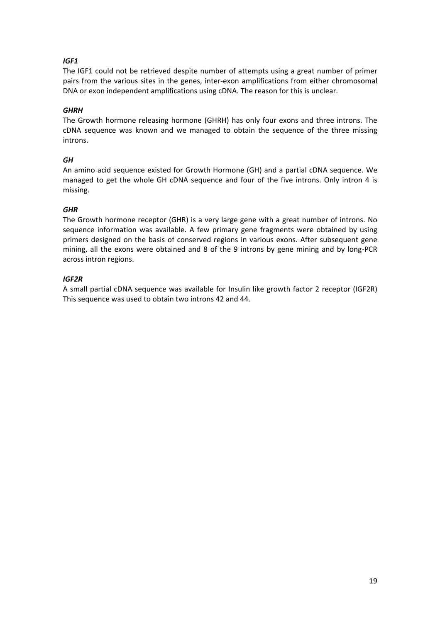#### *IGF1*

The IGF1 could not be retrieved despite number of attempts using a great number of primer pairs from the various sites in the genes, inter‐exon amplifications from either chromosomal DNA or exon independent amplifications using cDNA. The reason for this is unclear.

#### *GHRH*

The Growth hormone releasing hormone (GHRH) has only four exons and three introns. The cDNA sequence was known and we managed to obtain the sequence of the three missing introns.

#### *GH*

An amino acid sequence existed for Growth Hormone (GH) and a partial cDNA sequence. We managed to get the whole GH cDNA sequence and four of the five introns. Only intron 4 is missing.

#### *GHR*

The Growth hormone receptor (GHR) is a very large gene with a great number of introns. No sequence information was available. A few primary gene fragments were obtained by using primers designed on the basis of conserved regions in various exons. After subsequent gene mining, all the exons were obtained and 8 of the 9 introns by gene mining and by long‐PCR across intron regions.

#### *IGF2R*

A small partial cDNA sequence was available for Insulin like growth factor 2 receptor (IGF2R) This sequence was used to obtain two introns 42 and 44.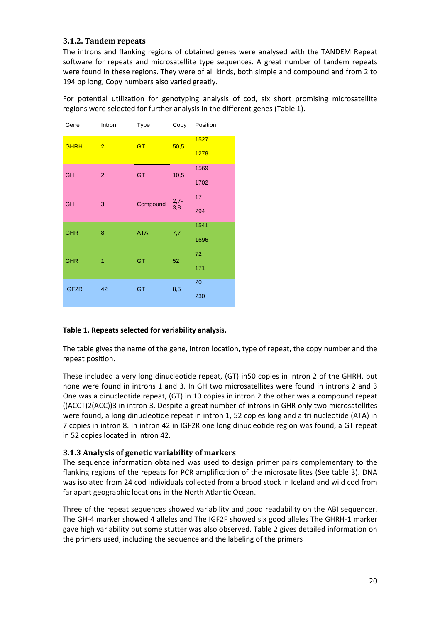#### **3.1.2. Tandem repeats**

The introns and flanking regions of obtained genes were analysed with the TANDEM Repeat software for repeats and microsatellite type sequences. A great number of tandem repeats were found in these regions. They were of all kinds, both simple and compound and from 2 to 194 bp long, Copy numbers also varied greatly.

For potential utilization for genotyping analysis of cod, six short promising microsatellite regions were selected for further analysis in the different genes (Table 1).

| Gene        | Intron         | <b>Type</b> | Copy      | Position |
|-------------|----------------|-------------|-----------|----------|
| <b>GHRH</b> | $\overline{2}$ | <b>GT</b>   | 50,5      | 1527     |
|             |                |             |           | 1278     |
| <b>GH</b>   | $\overline{2}$ | GT          | 10,5      | 1569     |
|             |                |             |           | 1702     |
| <b>GH</b>   | 3              | Compound    | $2,7-3,8$ | 17       |
|             |                |             |           | 294      |
| <b>GHR</b>  | 8              | <b>ATA</b>  | 7,7       | 1541     |
|             |                |             |           | 1696     |
| <b>GHR</b>  | $\overline{1}$ | GT          | 52        | 72       |
|             |                |             |           | 171      |
| IGF2R       | 42             | GT          | 8,5       | 20       |
|             |                |             |           | 230      |

#### **Table 1. Repeats selected for variability analysis.**

The table gives the name of the gene, intron location, type of repeat, the copy number and the repeat position.

These included a very long dinucleotide repeat, (GT) in50 copies in intron 2 of the GHRH, but none were found in introns 1 and 3. In GH two microsatellites were found in introns 2 and 3 One was a dinucleotide repeat, (GT) in 10 copies in intron 2 the other was a compound repeat ((ACCT)2(ACC))3 in intron 3. Despite a great number of introns in GHR only two microsatellites were found, a long dinucleotide repeat in intron 1, 52 copies long and a tri nucleotide (ATA) in 7 copies in intron 8. In intron 42 in IGF2R one long dinucleotide region was found, a GT repeat in 52 copies located in intron 42.

#### **3.1.3 Analysis of genetic variability of markers**

The sequence information obtained was used to design primer pairs complementary to the flanking regions of the repeats for PCR amplification of the microsatellites (See table 3). DNA was isolated from 24 cod individuals collected from a brood stock in Iceland and wild cod from far apart geographic locations in the North Atlantic Ocean.

Three of the repeat sequences showed variability and good readability on the ABI sequencer. The GH‐4 marker showed 4 alleles and The IGF2F showed six good alleles The GHRH‐1 marker gave high variability but some stutter was also observed. Table 2 gives detailed information on the primers used, including the sequence and the labeling of the primers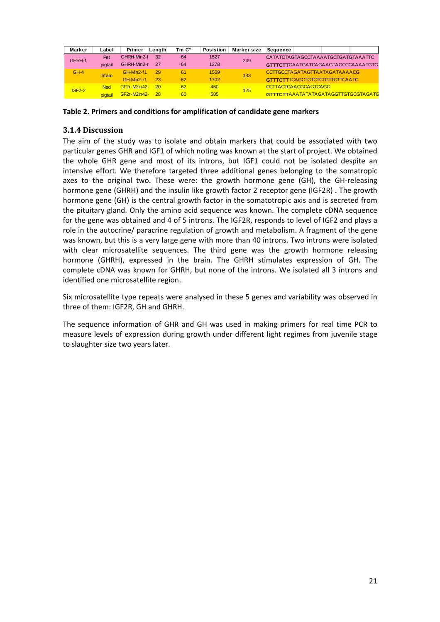| Marker   | Label      | Primer              | Lenath | Tm C° | <b>Posistion</b> | Marker size | Sequence |                      |                                        |                                            |
|----------|------------|---------------------|--------|-------|------------------|-------------|----------|----------------------|----------------------------------------|--------------------------------------------|
| GHRH-1   | Pet        | GHRH-Min2-f         | 32     | 64    | 1527             | 249         |          |                      | CATATCTAGTAGCCTAAAATGCTGATGTAAATTC     |                                            |
|          | pigtail    | GHRH-Min2-r         | 27     | 64    | 1278             |             |          |                      |                                        | GTTTCTTGAATGATCAGAAGTAGCCCAAAATGTG         |
| $GH-4$   | 6fam       | GH-Min2-f1          | 29     | 61    | 1569             | 133         |          |                      | CCTTGCCTAGATAGTTAATAGATAAAACG          |                                            |
|          |            | GH-Min2-r1          | 23     | 62    | 1702             |             |          |                      | <b>GTTTCTT</b> TCAGCTGTCTCTGTTCTTCAATC |                                            |
| $IGF2-2$ | <b>Ned</b> | <b>GF2r-M2in42-</b> | 20     | 62    | 460              | 125         |          | CCTTACTCAACGCAGTCAGG |                                        |                                            |
|          | pigtail    | <b>GF2r-M2in42-</b> | -28    | 60    | 585              |             |          |                      |                                        | <b>GTTTCTTAAATATATAGATAGGTTGTGCGTAGATC</b> |

**Table 2. Primers and conditions for amplification of candidate gene markers**

#### **3.1.4 Discussion**

The aim of the study was to isolate and obtain markers that could be associated with two particular genes GHR and IGF1 of which noting was known at the start of project. We obtained the whole GHR gene and most of its introns, but IGF1 could not be isolated despite an intensive effort. We therefore targeted three additional genes belonging to the somatropic axes to the original two. These were: the growth hormone gene (GH), the GH-releasing hormone gene (GHRH) and the insulin like growth factor 2 receptor gene (IGF2R) . The growth hormone gene (GH) is the central growth factor in the somatotropic axis and is secreted from the pituitary gland. Only the amino acid sequence was known. The complete cDNA sequence for the gene was obtained and 4 of 5 introns. The IGF2R, responds to level of IGF2 and plays a role in the autocrine/ paracrine regulation of growth and metabolism. A fragment of the gene was known, but this is a very large gene with more than 40 introns. Two introns were isolated with clear microsatellite sequences. The third gene was the growth hormone releasing hormone (GHRH), expressed in the brain. The GHRH stimulates expression of GH. The complete cDNA was known for GHRH, but none of the introns. We isolated all 3 introns and identified one microsatellite region.

Six microsatellite type repeats were analysed in these 5 genes and variability was observed in three of them: IGF2R, GH and GHRH.

The sequence information of GHR and GH was used in making primers for real time PCR to measure levels of expression during growth under different light regimes from juvenile stage to slaughter size two years later.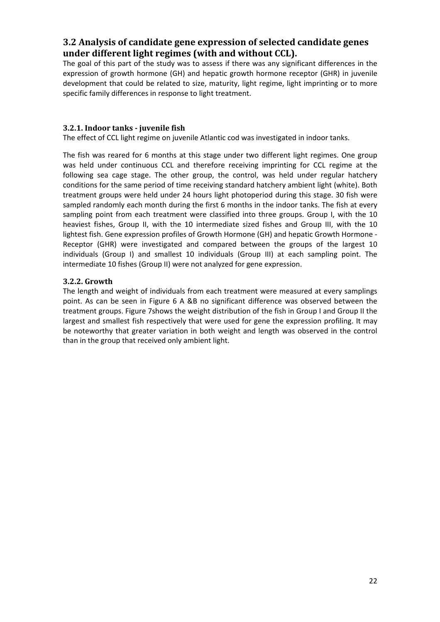## **3.2 Analysis of candidate gene expression of selected candidate genes under different light regimes (with and without CCL).**

The goal of this part of the study was to assess if there was any significant differences in the expression of growth hormone (GH) and hepatic growth hormone receptor (GHR) in juvenile development that could be related to size, maturity, light regime, light imprinting or to more specific family differences in response to light treatment.

#### **3.2.1. Indoor tanks juvenile fish**

The effect of CCL light regime on juvenile Atlantic cod was investigated in indoor tanks.

The fish was reared for 6 months at this stage under two different light regimes. One group was held under continuous CCL and therefore receiving imprinting for CCL regime at the following sea cage stage. The other group, the control, was held under regular hatchery conditions for the same period of time receiving standard hatchery ambient light (white). Both treatment groups were held under 24 hours light photoperiod during this stage. 30 fish were sampled randomly each month during the first 6 months in the indoor tanks. The fish at every sampling point from each treatment were classified into three groups. Group I, with the 10 heaviest fishes, Group II, with the 10 intermediate sized fishes and Group III, with the 10 lightest fish. Gene expression profiles of Growth Hormone (GH) and hepatic Growth Hormone ‐ Receptor (GHR) were investigated and compared between the groups of the largest 10 individuals (Group I) and smallest 10 individuals (Group III) at each sampling point. The intermediate 10 fishes (Group II) were not analyzed for gene expression.

#### **3.2.2. Growth**

The length and weight of individuals from each treatment were measured at every samplings point. As can be seen in Figure 6 A &B no significant difference was observed between the treatment groups. Figure 7shows the weight distribution of the fish in Group I and Group II the largest and smallest fish respectively that were used for gene the expression profiling. It may be noteworthy that greater variation in both weight and length was observed in the control than in the group that received only ambient light.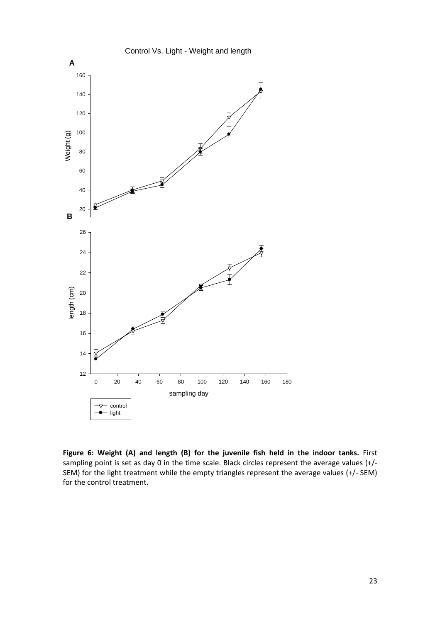

**Figure 6: Weight (A) and length (B) for the juvenile fish held in the indoor tanks.** First sampling point is set as day 0 in the time scale. Black circles represent the average values (+/-SEM) for the light treatment while the empty triangles represent the average values (+/‐ SEM) for the control treatment.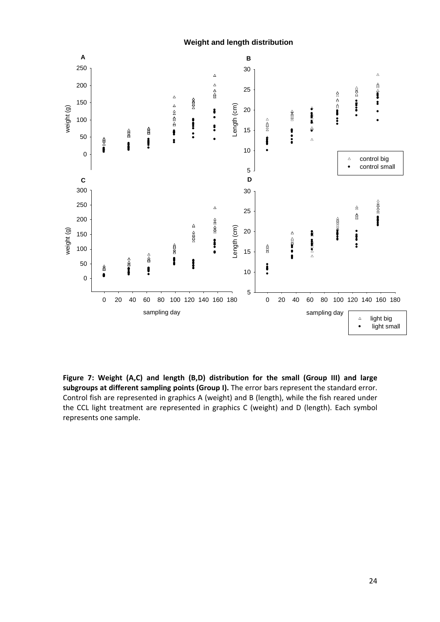**Weight and length distribution**



**Figure 7: Weight (A,C) and length (B,D) distribution for the small (Group III) and large subgroups at different sampling points (Group I).** The error bars represent the standard error. Control fish are represented in graphics A (weight) and B (length), while the fish reared under the CCL light treatment are represented in graphics C (weight) and D (length). Each symbol represents one sample.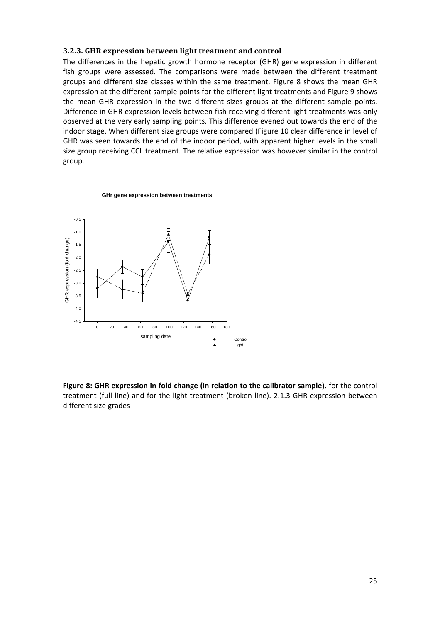#### **3.2.3. GHR expression between light treatment and control**

The differences in the hepatic growth hormone receptor (GHR) gene expression in different fish groups were assessed. The comparisons were made between the different treatment groups and different size classes within the same treatment. Figure 8 shows the mean GHR expression at the different sample points for the different light treatments and Figure 9 shows the mean GHR expression in the two different sizes groups at the different sample points. Difference in GHR expression levels between fish receiving different light treatments was only observed at the very early sampling points. This difference evened out towards the end of the indoor stage. When different size groups were compared (Figure 10 clear difference in level of GHR was seen towards the end of the indoor period, with apparent higher levels in the small size group receiving CCL treatment. The relative expression was however similar in the control group.

#### **GHr gene expression between treatments**



**Figure 8: GHR expression in fold change (in relation to the calibrator sample).** for the control treatment (full line) and for the light treatment (broken line). 2.1.3 GHR expression between different size grades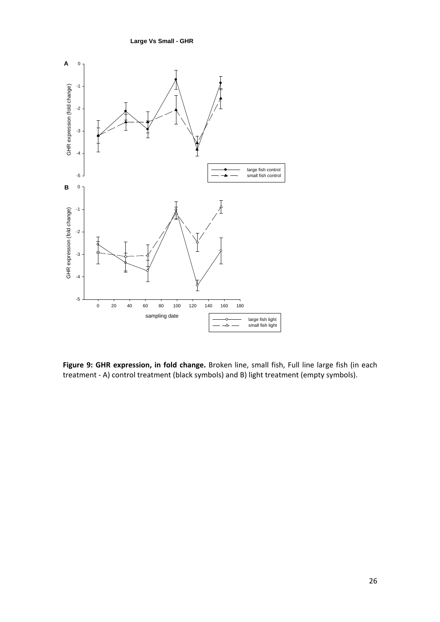**Large Vs Small - GHR**



**Figure 9: GHR expression, in fold change.** Broken line, small fish, Full line large fish (in each treatment ‐ A) control treatment (black symbols) and B) light treatment (empty symbols).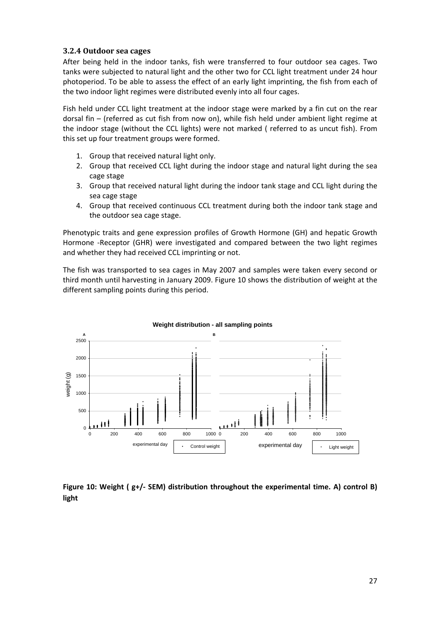#### **3.2.4 Outdoor sea cages**

After being held in the indoor tanks, fish were transferred to four outdoor sea cages. Two tanks were subjected to natural light and the other two for CCL light treatment under 24 hour photoperiod. To be able to assess the effect of an early light imprinting, the fish from each of the two indoor light regimes were distributed evenly into all four cages.

Fish held under CCL light treatment at the indoor stage were marked by a fin cut on the rear dorsal fin – (referred as cut fish from now on), while fish held under ambient light regime at the indoor stage (without the CCL lights) were not marked ( referred to as uncut fish). From this set up four treatment groups were formed.

- 1. Group that received natural light only.
- 2. Group that received CCL light during the indoor stage and natural light during the sea cage stage
- 3. Group that received natural light during the indoor tank stage and CCL light during the sea cage stage
- 4. Group that received continuous CCL treatment during both the indoor tank stage and the outdoor sea cage stage.

Phenotypic traits and gene expression profiles of Growth Hormone (GH) and hepatic Growth Hormone -Receptor (GHR) were investigated and compared between the two light regimes and whether they had received CCL imprinting or not.

The fish was transported to sea cages in May 2007 and samples were taken every second or third month until harvesting in January 2009. Figure 10 shows the distribution of weight at the different sampling points during this period.



**Figure 10: Weight ( g+/‐ SEM) distribution throughout the experimental time. A) control B) light**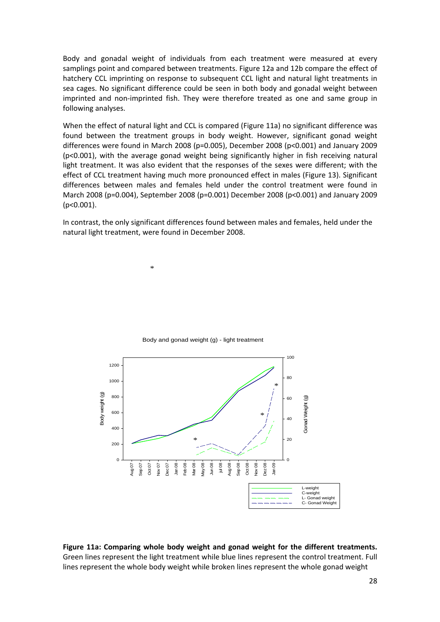Body and gonadal weight of individuals from each treatment were measured at every samplings point and compared between treatments. Figure 12a and 12b compare the effect of hatchery CCL imprinting on response to subsequent CCL light and natural light treatments in sea cages. No significant difference could be seen in both body and gonadal weight between imprinted and non‐imprinted fish. They were therefore treated as one and same group in following analyses.

When the effect of natural light and CCL is compared (Figure 11a) no significant difference was found between the treatment groups in body weight. However, significant gonad weight differences were found in March 2008 (p=0.005), December 2008 (p<0.001) and January 2009 (p<0.001), with the average gonad weight being significantly higher in fish receiving natural light treatment. It was also evident that the responses of the sexes were different; with the effect of CCL treatment having much more pronounced effect in males (Figure 13). Significant differences between males and females held under the control treatment were found in March 2008 (p=0.004), September 2008 (p=0.001) December 2008 (p<0.001) and January 2009 (p<0.001).

In contrast, the only significant differences found between males and females, held under the natural light treatment, were found in December 2008.

\*



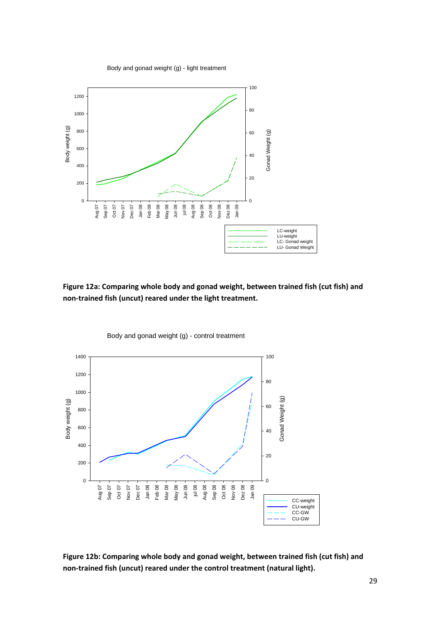Body and gonad weight (g) - light treatment



**Figure 12a: Comparing whole body and gonad weight, between trained fish (cut fish) and non‐trained fish (uncut) reared under the light treatment.** 



Body and gonad weight (g) - control treatment

**Figure 12b: Comparing whole body and gonad weight, between trained fish (cut fish) and non‐trained fish (uncut) reared under the control treatment (natural light).**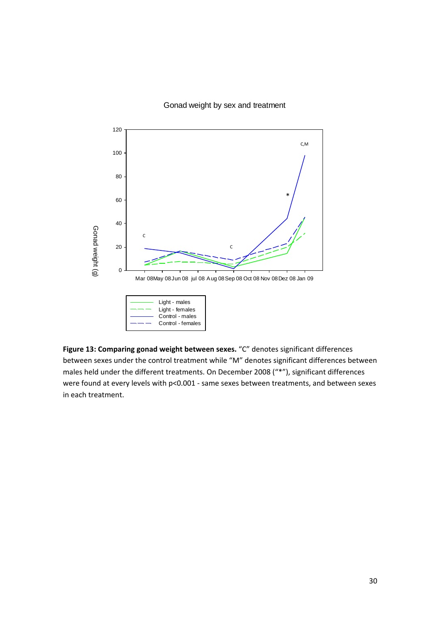#### Gonad weight by sex and treatment



**Figure 13: Comparing gonad weight between sexes.** "C" denotes significant differences between sexes under the control treatment while "M" denotes significant differences between males held under the different treatments. On December 2008 ("\*"), significant differences were found at every levels with p<0.001 - same sexes between treatments, and between sexes in each treatment.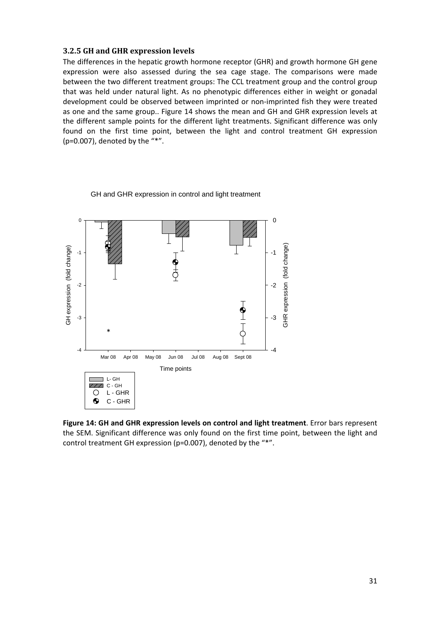#### **3.2.5 GH and GHR expression levels**

The differences in the hepatic growth hormone receptor (GHR) and growth hormone GH gene expression were also assessed during the sea cage stage. The comparisons were made between the two different treatment groups: The CCL treatment group and the control group that was held under natural light. As no phenotypic differences either in weight or gonadal development could be observed between imprinted or non‐imprinted fish they were treated as one and the same group.. Figure 14 shows the mean and GH and GHR expression levels at the different sample points for the different light treatments. Significant difference was only found on the first time point, between the light and control treatment GH expression (p=0.007), denoted by the "\*".



GH and GHR expression in control and light treatment

**Figure 14: GH and GHR expression levels on control and light treatment**. Error bars represent the SEM. Significant difference was only found on the first time point, between the light and control treatment GH expression (p=0.007), denoted by the "\*".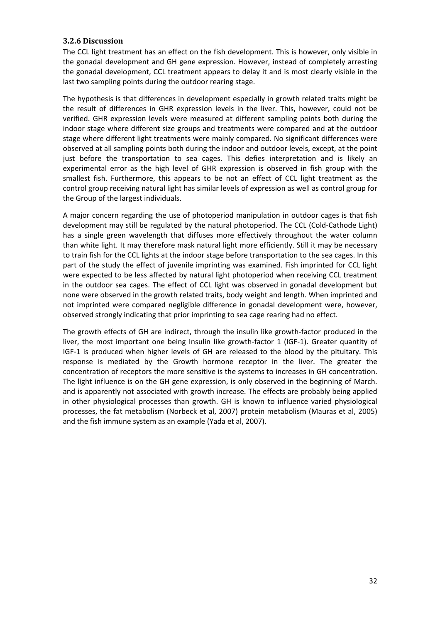#### **3.2.6 Discussion**

The CCL light treatment has an effect on the fish development. This is however, only visible in the gonadal development and GH gene expression. However, instead of completely arresting the gonadal development, CCL treatment appears to delay it and is most clearly visible in the last two sampling points during the outdoor rearing stage.

The hypothesis is that differences in development especially in growth related traits might be the result of differences in GHR expression levels in the liver. This, however, could not be verified. GHR expression levels were measured at different sampling points both during the indoor stage where different size groups and treatments were compared and at the outdoor stage where different light treatments were mainly compared. No significant differences were observed at all sampling points both during the indoor and outdoor levels, except, at the point just before the transportation to sea cages. This defies interpretation and is likely an experimental error as the high level of GHR expression is observed in fish group with the smallest fish. Furthermore, this appears to be not an effect of CCL light treatment as the control group receiving natural light has similar levels of expression as well as control group for the Group of the largest individuals.

A major concern regarding the use of photoperiod manipulation in outdoor cages is that fish development may still be regulated by the natural photoperiod. The CCL (Cold‐Cathode Light) has a single green wavelength that diffuses more effectively throughout the water column than white light. It may therefore mask natural light more efficiently. Still it may be necessary to train fish for the CCL lights at the indoor stage before transportation to the sea cages. In this part of the study the effect of juvenile imprinting was examined. Fish imprinted for CCL light were expected to be less affected by natural light photoperiod when receiving CCL treatment in the outdoor sea cages. The effect of CCL light was observed in gonadal development but none were observed in the growth related traits, body weight and length. When imprinted and not imprinted were compared negligible difference in gonadal development were, however, observed strongly indicating that prior imprinting to sea cage rearing had no effect.

The growth effects of GH are indirect, through the insulin like growth‐factor produced in the liver, the most important one being Insulin like growth‐factor 1 (IGF‐1). Greater quantity of IGF‐1 is produced when higher levels of GH are released to the blood by the pituitary. This response is mediated by the Growth hormone receptor in the liver. The greater the concentration of receptors the more sensitive is the systems to increases in GH concentration. The light influence is on the GH gene expression, is only observed in the beginning of March. and is apparently not associated with growth increase. The effects are probably being applied in other physiological processes than growth. GH is known to influence varied physiological processes, the fat metabolism (Norbeck et al, 2007) protein metabolism (Mauras et al, 2005) and the fish immune system as an example (Yada et al, 2007).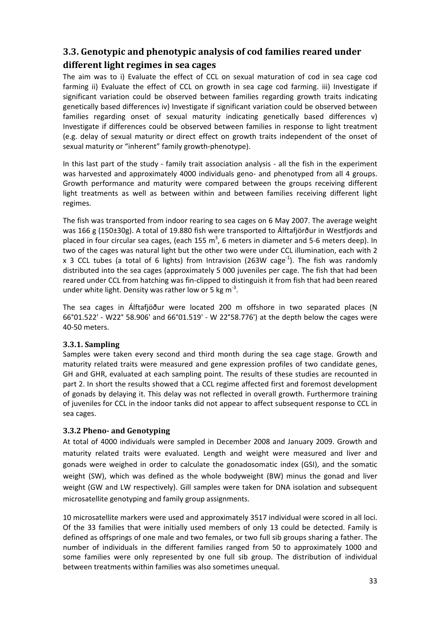## **3.3. Genotypic and phenotypic analysis of cod families reared under different light regimes in sea cages**

The aim was to i) Evaluate the effect of CCL on sexual maturation of cod in sea cage cod farming ii) Evaluate the effect of CCL on growth in sea cage cod farming. iii) Investigate if significant variation could be observed between families regarding growth traits indicating genetically based differences iv) Investigate if significant variation could be observed between families regarding onset of sexual maturity indicating genetically based differences v) Investigate if differences could be observed between families in response to light treatment (e.g. delay of sexual maturity or direct effect on growth traits independent of the onset of sexual maturity or "inherent" family growth-phenotype).

In this last part of the study - family trait association analysis - all the fish in the experiment was harvested and approximately 4000 individuals geno- and phenotyped from all 4 groups. Growth performance and maturity were compared between the groups receiving different light treatments as well as between within and between families receiving different light regimes.

The fish was transported from indoor rearing to sea cages on 6 May 2007. The average weight was 166 g (150±30g). A total of 19.880 fish were transported to Álftafjörður in Westfjords and placed in four circular sea cages, (each 155 m<sup>3</sup>, 6 meters in diameter and 5-6 meters deep). In two of the cages was natural light but the other two were under CCL illumination, each with 2 x 3 CCL tubes (a total of 6 lights) from Intravision (263W cage<sup>-1</sup>). The fish was randomly distributed into the sea cages (approximately 5 000 juveniles per cage. The fish that had been reared under CCL from hatching was fin‐clipped to distinguish it from fish that had been reared under white light. Density was rather low or 5 kg  $m<sup>-3</sup>$ .

The sea cages in Álftafjöður were located 200 m offshore in two separated places (N 66°01.522' ‐ W22° 58.906' and 66°01.519' ‐ W 22°58.776') at the depth below the cages were 40‐50 meters.

#### **3.3.1. Sampling**

Samples were taken every second and third month during the sea cage stage. Growth and maturity related traits were measured and gene expression profiles of two candidate genes, GH and GHR, evaluated at each sampling point. The results of these studies are recounted in part 2. In short the results showed that a CCL regime affected first and foremost development of gonads by delaying it. This delay was not reflected in overall growth. Furthermore training of juveniles for CCL in the indoor tanks did not appear to affect subsequent response to CCL in sea cages.

#### **3.3.2 Pheno and Genotyping**

At total of 4000 individuals were sampled in December 2008 and January 2009. Growth and maturity related traits were evaluated. Length and weight were measured and liver and gonads were weighed in order to calculate the gonadosomatic index (GSI), and the somatic weight (SW), which was defined as the whole bodyweight (BW) minus the gonad and liver weight (GW and LW respectively). Gill samples were taken for DNA isolation and subsequent microsatellite genotyping and family group assignments.

10 microsatellite markers were used and approximately 3517 individual were scored in all loci. Of the 33 families that were initially used members of only 13 could be detected. Family is defined as offsprings of one male and two females, or two full sib groups sharing a father. The number of individuals in the different families ranged from 50 to approximately 1000 and some families were only represented by one full sib group. The distribution of individual between treatments within families was also sometimes unequal.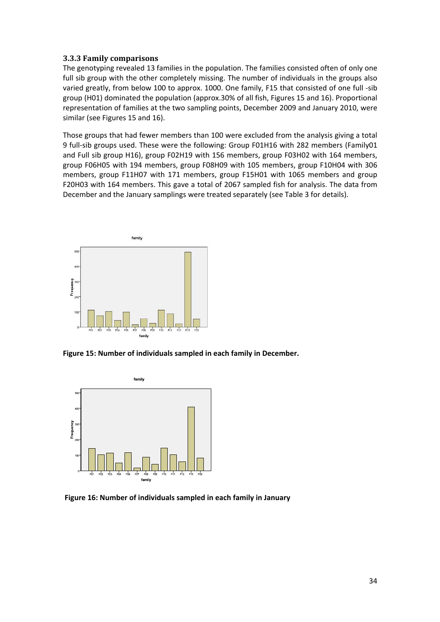#### **3.3.3 Family comparisons**

The genotyping revealed 13 families in the population. The families consisted often of only one full sib group with the other completely missing. The number of individuals in the groups also varied greatly, from below 100 to approx. 1000. One family, F15 that consisted of one full ‐sib group (H01) dominated the population (approx.30% of all fish, Figures 15 and 16). Proportional representation of families at the two sampling points, December 2009 and January 2010, were similar (see Figures 15 and 16).

Those groups that had fewer members than 100 were excluded from the analysis giving a total 9 full‐sib groups used. These were the following: Group F01H16 with 282 members (Family01 and Full sib group H16), group F02H19 with 156 members, group F03H02 with 164 members, group F06H05 with 194 members, group F08H09 with 105 members, group F10H04 with 306 members, group F11H07 with 171 members, group F15H01 with 1065 members and group F20H03 with 164 members. This gave a total of 2067 sampled fish for analysis. The data from December and the January samplings were treated separately (see Table 3 for details).



**Figure 15: Number of individuals sampled in each family in December.**



**Figure 16: Number of individuals sampled in each family in January**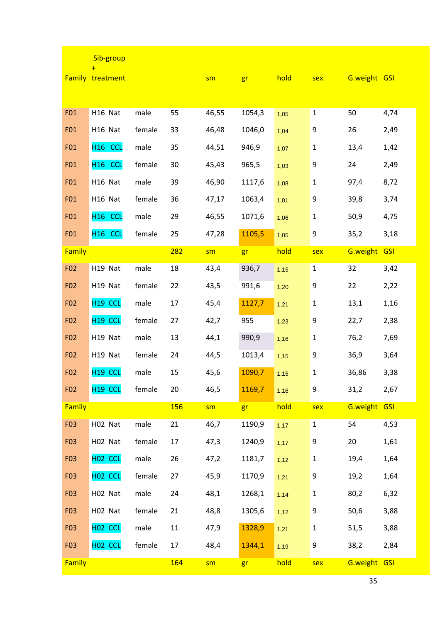|                 | Sib-group                      |        |     |       |        |      |              |              |            |
|-----------------|--------------------------------|--------|-----|-------|--------|------|--------------|--------------|------------|
|                 | $+$<br><b>Family treatment</b> |        |     | sm    | gr     | hold | sex          | G.weight GSI |            |
|                 |                                |        |     |       |        |      |              |              |            |
| F01             | H16 Nat                        | male   | 55  | 46,55 | 1054,3 | 1,05 | $\mathbf{1}$ | 50           | 4,74       |
| F01             | H16 Nat                        | female | 33  | 46,48 | 1046,0 | 1,04 | 9            | 26           | 2,49       |
| F01             | H <sub>16</sub> CCL            | male   | 35  | 44,51 | 946,9  | 1,07 | $\mathbf{1}$ | 13,4         | 1,42       |
| F01             | H <sub>16</sub> CCL            | female | 30  | 45,43 | 965,5  | 1,03 | 9            | 24           | 2,49       |
| F01             | H16 Nat                        | male   | 39  | 46,90 | 1117,6 | 1,08 | $\mathbf 1$  | 97,4         | 8,72       |
| F01             | H16 Nat                        | female | 36  | 47,17 | 1063,4 | 1,01 | 9            | 39,8         | 3,74       |
| F01             | H <sub>16</sub> CCL            | male   | 29  | 46,55 | 1071,6 | 1,06 | $\mathbf 1$  | 50,9         | 4,75       |
| F01             | H <sub>16</sub> CCL            | female | 25  | 47,28 | 1105,5 | 1,05 | 9            | 35,2         | 3,18       |
| Family          |                                |        | 282 | sm    | gr     | hold | sex          | G.weight GSI |            |
| F <sub>02</sub> | H19 Nat                        | male   | 18  | 43,4  | 936,7  | 1,15 | $\mathbf{1}$ | 32           | 3,42       |
| F <sub>02</sub> | H19 Nat                        | female | 22  | 43,5  | 991,6  | 1,20 | 9            | 22           | 2,22       |
| F <sub>02</sub> | H <sub>19</sub> CCL            | male   | 17  | 45,4  | 1127,7 | 1,21 | $\mathbf{1}$ | 13,1         | 1,16       |
| F <sub>02</sub> | H <sub>19</sub> CCL            | female | 27  | 42,7  | 955    | 1,23 | 9            | 22,7         | 2,38       |
| F <sub>02</sub> | H19 Nat                        | male   | 13  | 44,1  | 990,9  | 1,16 | $\mathbf 1$  | 76,2         | 7,69       |
| F <sub>02</sub> | H19 Nat                        | female | 24  | 44,5  | 1013,4 | 1,15 | 9            | 36,9         | 3,64       |
| F <sub>02</sub> | H <sub>19</sub> CCL            | male   | 15  | 45,6  | 1090,7 | 1,15 | $\mathbf 1$  | 36,86        | 3,38       |
| F <sub>02</sub> | H <sub>19</sub> CCL            | female | 20  | 46,5  | 1169,7 | 1,16 | 9            | 31,2         | 2,67       |
| Family          |                                |        | 156 | sm    | gr     | hold | sex          | G.weight     | <b>GSI</b> |
| F03             | H02 Nat                        | male   | 21  | 46,7  | 1190,9 | 1,17 | $\mathbf{1}$ | 54           | 4,53       |
| F03             | H02 Nat                        | female | 17  | 47,3  | 1240,9 | 1,17 | 9            | 20           | 1,61       |
| F03             | H <sub>02</sub> CCL            | male   | 26  | 47,2  | 1181,7 | 1,12 | $\mathbf 1$  | 19,4         | 1,64       |
| F03             | H <sub>02</sub> CCL            | female | 27  | 45,9  | 1170,9 | 1,21 | 9            | 19,2         | 1,64       |
| F03             | H02 Nat                        | male   | 24  | 48,1  | 1268,1 | 1,14 | $\mathbf 1$  | 80,2         | 6,32       |
| F03             | H02 Nat                        | female | 21  | 48,8  | 1305,6 | 1,12 | 9            | 50,6         | 3,88       |
| F <sub>03</sub> | H <sub>02</sub> CCL            | male   | 11  | 47,9  | 1328,9 | 1,21 | $\mathbf 1$  | 51,5         | 3,88       |
| F <sub>03</sub> | H <sub>02</sub> CCL            | female | 17  | 48,4  | 1344,1 | 1,19 | 9            | 38,2         | 2,84       |
| Family          |                                |        | 164 | sm    | gr     | hold | sex          | G.weight GSI |            |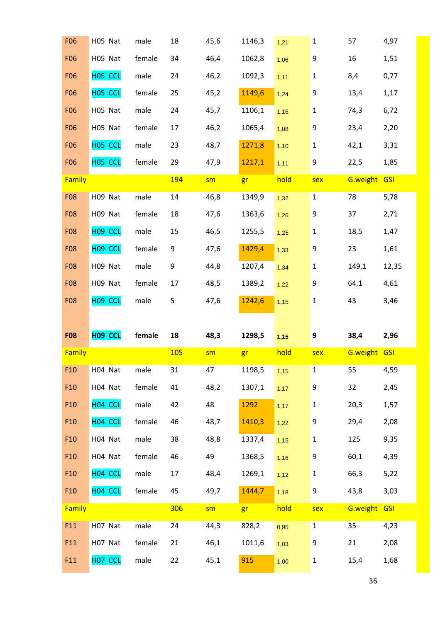| <b>F06</b>    | H05 Nat             | male   | 18         | 45,6 | 1146,3 | 1,21 | $\mathbf 1$      | 57           | 4,97  |
|---------------|---------------------|--------|------------|------|--------|------|------------------|--------------|-------|
| <b>F06</b>    | H05 Nat             | female | 34         | 46,4 | 1062,8 | 1,06 | 9                | 16           | 1,51  |
| <b>F06</b>    | H05 CCL             | male   | 24         | 46,2 | 1092,3 | 1,11 | $\mathbf 1$      | 8,4          | 0,77  |
| <b>F06</b>    | H05 CCL             | female | 25         | 45,2 | 1149,6 | 1,24 | 9                | 13,4         | 1,17  |
| <b>F06</b>    | H05 Nat             | male   | 24         | 45,7 | 1106,1 | 1,16 | $\mathbf 1$      | 74,3         | 6,72  |
| <b>F06</b>    | H05 Nat             | female | 17         | 46,2 | 1065,4 | 1,08 | $\boldsymbol{9}$ | 23,4         | 2,20  |
| <b>F06</b>    | H05 CCL             | male   | 23         | 48,7 | 1271,8 | 1,10 | $\mathbf{1}$     | 42,1         | 3,31  |
| <b>F06</b>    | H05 CCL             | female | 29         | 47,9 | 1217,1 | 1,11 | 9                | 22,5         | 1,85  |
| Family        |                     |        | 194        | sm   | gr     | hold | sex              | G.weight GSI |       |
| <b>F08</b>    | H09 Nat             | male   | 14         | 46,8 | 1349,9 | 1,32 | $\mathbf{1}$     | 78           | 5,78  |
| <b>F08</b>    | H09 Nat             | female | 18         | 47,6 | 1363,6 | 1,26 | 9                | 37           | 2,71  |
| <b>F08</b>    | H09 CCL             | male   | 15         | 46,5 | 1255,5 | 1,25 | $\mathbf 1$      | 18,5         | 1,47  |
| <b>F08</b>    | H <sub>09</sub> CCL | female | 9          | 47,6 | 1429,4 | 1,33 | 9                | 23           | 1,61  |
| <b>F08</b>    | H09 Nat             | male   | 9          | 44,8 | 1207,4 | 1,34 | $\mathbf 1$      | 149,1        | 12,35 |
| <b>F08</b>    | H09 Nat             | female | 17         | 48,5 | 1389,2 | 1,22 | 9                | 64,1         | 4,61  |
| <b>F08</b>    | H <sub>09</sub> CCL | male   | 5          | 47,6 | 1242,6 | 1,15 | $\mathbf 1$      | 43           | 3,46  |
|               |                     |        |            |      |        |      |                  |              |       |
|               |                     |        |            |      |        |      |                  |              |       |
| <b>F08</b>    | H09 CCL             | female | 18         | 48,3 | 1298,5 | 1,15 | 9                | 38,4         | 2,96  |
| <b>Family</b> |                     |        | <b>105</b> | sm   | gr     | hold | sex              | G.weight GSI |       |
| F10           | H04 Nat             | male   | 31         | 47   | 1198,5 | 1,15 | $\mathbf{1}$     | 55           | 4,59  |
| F10           | H04 Nat             | female | 41         | 48,2 | 1307,1 | 1,17 | $\boldsymbol{9}$ | 32           | 2,45  |
| F10           | H04 CCL             | male   | 42         | 48   | 1292   | 1,17 | $\mathbf 1$      | 20,3         | 1,57  |
| F10           | H04 CCL             | female | 46         | 48,7 | 1410,3 | 1,22 | 9                | 29,4         | 2,08  |
| F10           | H04 Nat             | male   | 38         | 48,8 | 1337,4 | 1,15 | $\mathbf 1$      | 125          | 9,35  |
| F10           | H04 Nat             | female | 46         | 49   | 1368,5 | 1,16 | 9                | 60,1         | 4,39  |
| F10           | H04 CCL             | male   | 17         | 48,4 | 1269,1 | 1,12 | $\mathbf 1$      | 66,3         | 5,22  |
| F10           | H04 CCL             | female | 45         | 49,7 | 1444,7 | 1,18 | $\boldsymbol{9}$ | 43,8         | 3,03  |
| Family        |                     |        | 306        | sm   | gr     | hold | sex              | G.weight GSI |       |
| F11           | H07 Nat             | male   | 24         | 44,3 | 828,2  | 0,95 | $1\,$            | 35           | 4,23  |
| F11           | H07 Nat             | female | 21         | 46,1 | 1011,6 | 1,03 | 9                | 21           | 2,08  |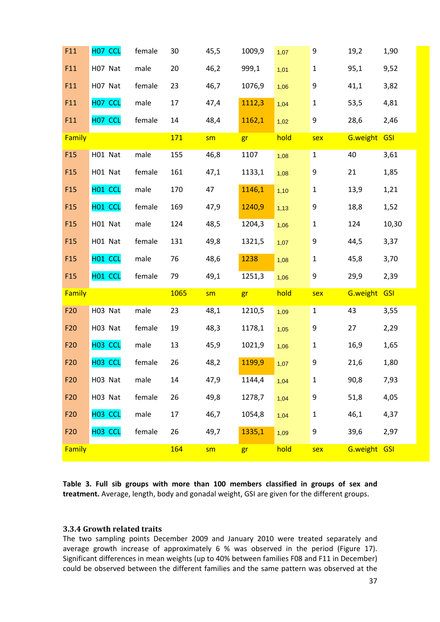| F11             | H <sub>07</sub> CCL | female | 30   | 45,5 | 1009,9 | 1,07 | 9                | 19,2         | 1,90       |
|-----------------|---------------------|--------|------|------|--------|------|------------------|--------------|------------|
| F11             | H07 Nat             | male   | 20   | 46,2 | 999,1  | 1,01 | $\mathbf 1$      | 95,1         | 9,52       |
| F11             | H07 Nat             | female | 23   | 46,7 | 1076,9 | 1,06 | 9                | 41,1         | 3,82       |
| F11             | H <sub>07</sub> CCL | male   | 17   | 47,4 | 1112,3 | 1,04 | $\mathbf 1$      | 53,5         | 4,81       |
| F11             | H <sub>07</sub> CCL | female | 14   | 48,4 | 1162,1 | 1,02 | 9                | 28,6         | 2,46       |
| Family          |                     |        | 171  | sm   | gr     | hold | sex              | G.weight     | <b>GSI</b> |
| F <sub>15</sub> | H01 Nat             | male   | 155  | 46,8 | 1107   | 1,08 | $\mathbf{1}$     | 40           | 3,61       |
| F <sub>15</sub> | H01 Nat             | female | 161  | 47,1 | 1133,1 | 1,08 | 9                | 21           | 1,85       |
| F15             | H <sub>01</sub> CCL | male   | 170  | 47   | 1146,1 | 1,10 | $\mathbf 1$      | 13,9         | 1,21       |
| F <sub>15</sub> | H01 CCL             | female | 169  | 47,9 | 1240,9 | 1,13 | 9                | 18,8         | 1,52       |
| F <sub>15</sub> | H01 Nat             | male   | 124  | 48,5 | 1204,3 | 1,06 | $\mathbf{1}$     | 124          | 10,30      |
| F15             | H01 Nat             | female | 131  | 49,8 | 1321,5 | 1,07 | 9                | 44,5         | 3,37       |
| F <sub>15</sub> | H <sub>01</sub> CCL | male   | 76   | 48,6 | 1238   | 1,08 | $\mathbf{1}$     | 45,8         | 3,70       |
|                 |                     |        |      |      |        |      |                  |              |            |
| F <sub>15</sub> | H <sub>01</sub> CCL | female | 79   | 49,1 | 1251,3 | 1,06 | 9                | 29,9         | 2,39       |
| Family          |                     |        | 1065 | sm   | gr     | hold | sex              | G.weight GSI |            |
| F20             | H03 Nat             | male   | 23   | 48,1 | 1210,5 | 1,09 | $\mathbf{1}$     | 43           | 3,55       |
| F20             | H03 Nat             | female | 19   | 48,3 | 1178,1 | 1,05 | 9                | 27           | 2,29       |
| F20             | H <sub>03</sub> CCL | male   | 13   | 45,9 | 1021,9 | 1,06 | $\mathbf{1}$     | 16,9         | 1,65       |
| F20             | H03 CCL             | female | 26   | 48,2 | 1199,9 | 1,07 | 9                | 21,6         | 1,80       |
| F20             | H03 Nat             | male   | 14   | 47,9 | 1144,4 | 1,04 | $\mathbf{1}$     | 90,8         | 7,93       |
| F20             | H03 Nat             | female | 26   | 49,8 | 1278,7 | 1,04 | 9                | 51,8         | 4,05       |
| F <sub>20</sub> | H03 CCL             | male   | 17   | 46,7 | 1054,8 | 1,04 | 1                | 46,1         | 4,37       |
| F20             | H03 CCL             | female | 26   | 49,7 | 1335,1 | 1,09 | $\boldsymbol{9}$ | 39,6         | 2,97       |

**Table 3. Full sib groups with more than 100 members classified in groups of sex and treatment.** Average, length, body and gonadal weight, GSI are given for the different groups.

#### **3.3.4 Growth related traits**

The two sampling points December 2009 and January 2010 were treated separately and average growth increase of approximately 6 % was observed in the period (Figure 17). Significant differences in mean weights (up to 40% between families F08 and F11 in December) could be observed between the different families and the same pattern was observed at the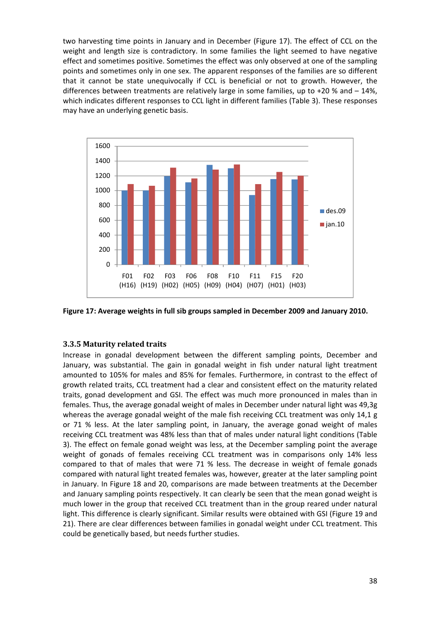two harvesting time points in January and in December (Figure 17). The effect of CCL on the weight and length size is contradictory. In some families the light seemed to have negative effect and sometimes positive. Sometimes the effect was only observed at one of the sampling points and sometimes only in one sex. The apparent responses of the families are so different that it cannot be state unequivocally if CCL is beneficial or not to growth. However, the differences between treatments are relatively large in some families, up to +20 % and – 14%, which indicates different responses to CCL light in different families (Table 3). These responses may have an underlying genetic basis.



**Figure 17: Average weights in full sib groups sampled in December 2009 and January 2010.**

#### **3.3.5 Maturity related traits**

Increase in gonadal development between the different sampling points, December and January, was substantial. The gain in gonadal weight in fish under natural light treatment amounted to 105% for males and 85% for females. Furthermore, in contrast to the effect of growth related traits, CCL treatment had a clear and consistent effect on the maturity related traits, gonad development and GSI. The effect was much more pronounced in males than in females. Thus, the average gonadal weight of males in December under natural light was 49,3g whereas the average gonadal weight of the male fish receiving CCL treatment was only 14,1 g or 71 % less. At the later sampling point, in January, the average gonad weight of males receiving CCL treatment was 48% less than that of males under natural light conditions (Table 3). The effect on female gonad weight was less, at the December sampling point the average weight of gonads of females receiving CCL treatment was in comparisons only 14% less compared to that of males that were 71 % less. The decrease in weight of female gonads compared with natural light treated females was, however, greater at the later sampling point in January. In Figure 18 and 20, comparisons are made between treatments at the December and January sampling points respectively. It can clearly be seen that the mean gonad weight is much lower in the group that received CCL treatment than in the group reared under natural light. This difference is clearly significant. Similar results were obtained with GSI (Figure 19 and 21). There are clear differences between families in gonadal weight under CCL treatment. This could be genetically based, but needs further studies.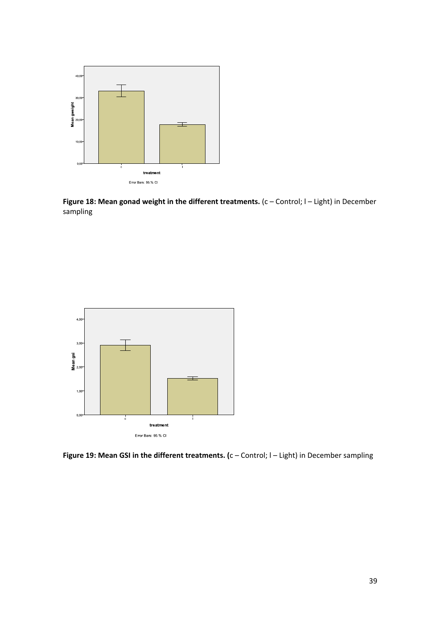

**Figure 18: Mean gonad weight in the different treatments.** (c – Control; l – Light) in December sampling



**Figure 19: Mean GSI in the different treatments. (**c – Control; l – Light) in December sampling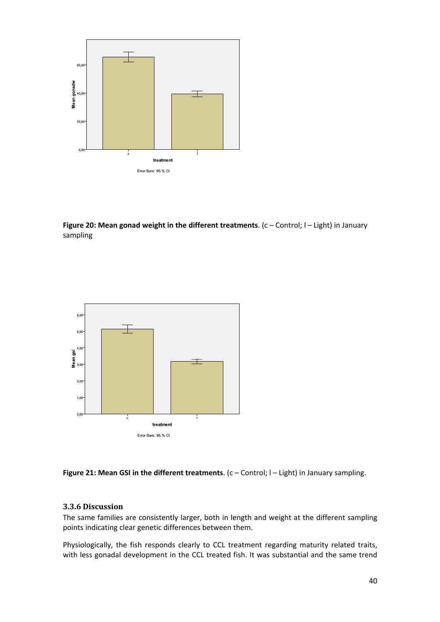

**Figure 20: Mean gonad weight in the different treatments**. (c – Control; l – Light) in January sampling



**Figure 21: Mean GSI in the different treatments**. (c – Control; l – Light) in January sampling.

#### **3.3.6 Discussion**

The same families are consistently larger, both in length and weight at the different sampling points indicating clear genetic differences between them.

Physiologically, the fish responds clearly to CCL treatment regarding maturity related traits, with less gonadal development in the CCL treated fish. It was substantial and the same trend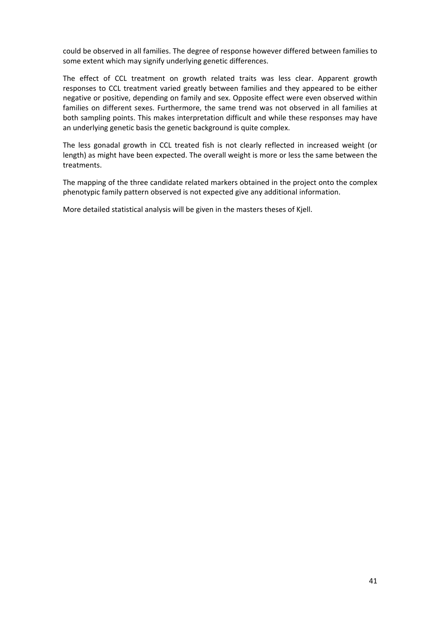could be observed in all families. The degree of response however differed between families to some extent which may signify underlying genetic differences.

The effect of CCL treatment on growth related traits was less clear. Apparent growth responses to CCL treatment varied greatly between families and they appeared to be either negative or positive, depending on family and sex. Opposite effect were even observed within families on different sexes. Furthermore, the same trend was not observed in all families at both sampling points. This makes interpretation difficult and while these responses may have an underlying genetic basis the genetic background is quite complex.

The less gonadal growth in CCL treated fish is not clearly reflected in increased weight (or length) as might have been expected. The overall weight is more or less the same between the treatments.

The mapping of the three candidate related markers obtained in the project onto the complex phenotypic family pattern observed is not expected give any additional information.

More detailed statistical analysis will be given in the masters theses of Kjell.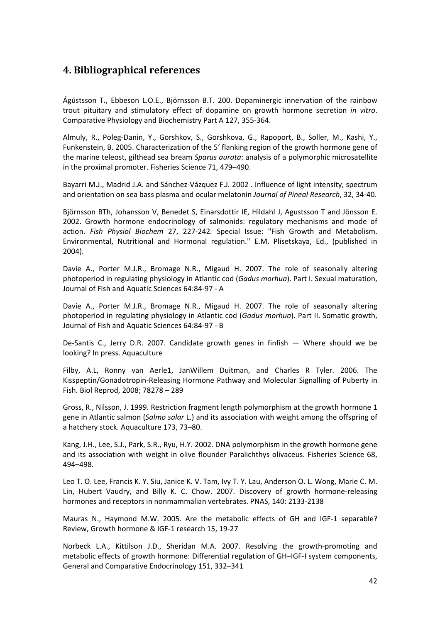## **4. Bibliographical references**

Ágústsson T., Ebbeson L.O.E., Björnsson B.T. 200. Dopaminergic innervation of the rainbow trout pituitary and stimulatory effect of dopamine on growth hormone secretion *in vitro*. Comparative Physiology and Biochemistry Part A 127, 355‐364.

Almuly, R., Poleg‐Danin, Y., Gorshkov, S., Gorshkova, G., Rapoport, B., Soller, M., Kashi, Y., Funkenstein, B. 2005. Characterization of the 5' flanking region of the growth hormone gene of the marine teleost, gilthead sea bream *Sparus aurata*: analysis of a polymorphic microsatellite in the proximal promoter. Fisheries Science 71, 479–490.

Bayarri M.J., Madrid J.A. and Sánchez‐Vázquez F.J. 2002 . Influence of light intensity, spectrum and orientation on sea bass plasma and ocular melatonin *Journal of Pineal Research*, 32, 34‐40.

Björnsson BTh, Johansson V, Benedet S, Einarsdottir IE, Hildahl J, Agustsson T and Jönsson E. 2002. Growth hormone endocrinology of salmonids: regulatory mechanisms and mode of action. *Fish Physiol Biochem* 27, 227‐242*.* Special Issue: "Fish Growth and Metabolism. Environmental, Nutritional and Hormonal regulation." E.M. Plisetskaya, Ed., (published in 2004).

Davie A., Porter M.J.R., Bromage N.R., Migaud H. 2007. The role of seasonally altering photoperiod in regulating physiology in Atlantic cod (*Gadus morhua*). Part I. Sexual maturation, Journal of Fish and Aquatic Sciences 64:84‐97 ‐ A

Davie A., Porter M.J.R., Bromage N.R., Migaud H. 2007. The role of seasonally altering photoperiod in regulating physiology in Atlantic cod (*Gadus morhua*). Part II. Somatic growth, Journal of Fish and Aquatic Sciences 64:84‐97 ‐ B

De-Santis C., Jerry D.R. 2007. Candidate growth genes in finfish - Where should we be looking? In press. Aquaculture

Filby, A.L, Ronny van Aerle1, JanWillem Duitman, and Charles R Tyler. 2006. The Kisspeptin/Gonadotropin‐Releasing Hormone Pathway and Molecular Signalling of Puberty in Fish. Biol Reprod, 2008; 78278 – 289

Gross, R., Nilsson, J. 1999. Restriction fragment length polymorphism at the growth hormone 1 gene in Atlantic salmon (*Salmo salar* L.) and its association with weight among the offspring of a hatchery stock. Aquaculture 173, 73–80.

Kang, J.H., Lee, S.J., Park, S.R., Ryu, H.Y. 2002. DNA polymorphism in the growth hormone gene and its association with weight in olive flounder Paralichthys olivaceus. Fisheries Science 68, 494–498.

Leo T. O. Lee, Francis K. Y. Siu, Janice K. V. Tam, Ivy T. Y. Lau, Anderson O. L. Wong, Marie C. M. Lin, Hubert Vaudry, and Billy K. C. Chow. 2007. Discovery of growth hormone-releasing hormones and receptors in nonmammalian vertebrates. PNAS, 140: 2133‐2138

Mauras N., Haymond M.W. 2005. Are the metabolic effects of GH and IGF‐1 separable? Review, Growth hormone & IGF‐1 research 15, 19‐27

Norbeck L.A., Kittilson J.D., Sheridan M.A. 2007. Resolving the growth‐promoting and metabolic effects of growth hormone: Differential regulation of GH–IGF‐I system components, General and Comparative Endocrinology 151, 332–341